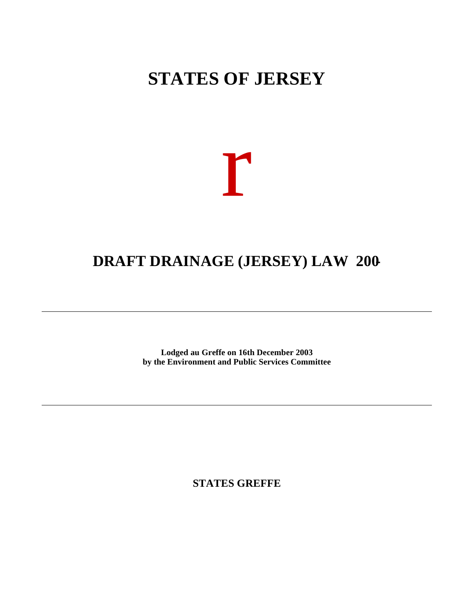# **STATES OF JERSEY**



# **DRAFT DRAINAGE (JERSEY) LAW 200-**

**Lodged au Greffe on 16th December 2003 by the Environment and Public Services Committee**

**STATES GREFFE**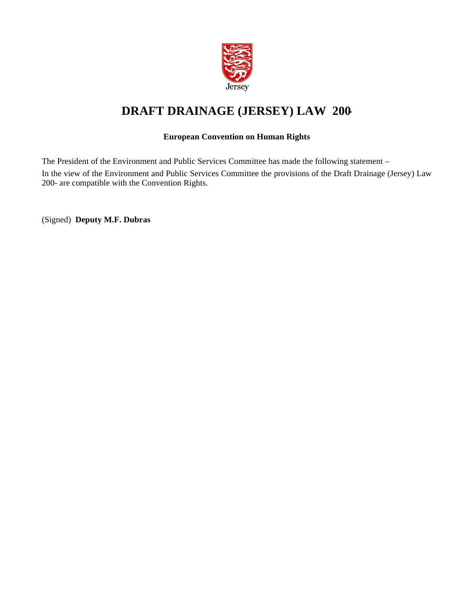

## **DRAFT DRAINAGE (JERSEY) LAW 200-**

#### **European Convention on Human Rights**

The President of the Environment and Public Services Committee has made the following statement – In the view of the Environment and Public Services Committee the provisions of the Draft Drainage (Jersey) Law 200- are compatible with the Convention Rights.

(Signed) **Deputy M.F. Dubras**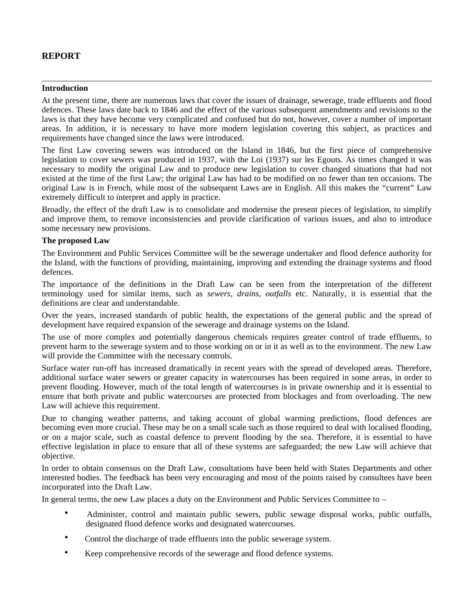## **REPORT**

#### **Introduction**

At the present time, there are numerous laws that cover the issues of drainage, sewerage, trade effluents and flood defences. These laws date back to 1846 and the effect of the various subsequent amendments and revisions to the laws is that they have become very complicated and confused but do not, however, cover a number of important areas. In addition, it is necessary to have more modern legislation covering this subject, as practices and requirements have changed since the laws were introduced.

The first Law covering sewers was introduced on the Island in 1846, but the first piece of comprehensive legislation to cover sewers was produced in 1937, with the Loi (1937) sur les Egouts. As times changed it was necessary to modify the original Law and to produce new legislation to cover changed situations that had not existed at the time of the first Law; the original Law has had to be modified on no fewer than ten occasions. The original Law is in French, while most of the subsequent Laws are in English. All this makes the "current" Law extremely difficult to interpret and apply in practice.

Broadly, the effect of the draft Law is to consolidate and modernise the present pieces of legislation, to simplify and improve them, to remove inconsistencies and provide clarification of various issues, and also to introduce some necessary new provisions.

#### **The proposed Law**

The Environment and Public Services Committee will be the sewerage undertaker and flood defence authority for the Island, with the functions of providing, maintaining, improving and extending the drainage systems and flood defences.

The importance of the definitions in the Draft Law can be seen from the interpretation of the different terminology used for similar items, such as *sewers, drains, outfalls* etc. Naturally, it is essential that the definitions are clear and understandable.

Over the years, increased standards of public health, the expectations of the general public and the spread of development have required expansion of the sewerage and drainage systems on the Island.

The use of more complex and potentially dangerous chemicals requires greater control of trade effluents, to prevent harm to the sewerage system and to those working on or in it as well as to the environment. The new Law will provide the Committee with the necessary controls.

Surface water run-off has increased dramatically in recent years with the spread of developed areas. Therefore, additional surface water sewers or greater capacity in watercourses has been required in some areas, in order to prevent flooding. However, much of the total length of watercourses is in private ownership and it is essential to ensure that both private and public watercourses are protected from blockages and from overloading. The new Law will achieve this requirement.

Due to changing weather patterns, and taking account of global warming predictions, flood defences are becoming even more crucial. These may be on a small scale such as those required to deal with localised flooding, or on a major scale, such as coastal defence to prevent flooding by the sea. Therefore, it is essential to have effective legislation in place to ensure that all of these systems are safeguarded; the new Law will achieve that objective.

In order to obtain consensus on the Draft Law, consultations have been held with States Departments and other interested bodies. The feedback has been very encouraging and most of the points raised by consultees have been incorporated into the Draft Law.

In general terms, the new Law places a duty on the Environment and Public Services Committee to –

- Administer, control and maintain public sewers, public sewage disposal works, public outfalls, designated flood defence works and designated watercourses.
- Control the discharge of trade effluents into the public sewerage system.
- Keep comprehensive records of the sewerage and flood defence systems.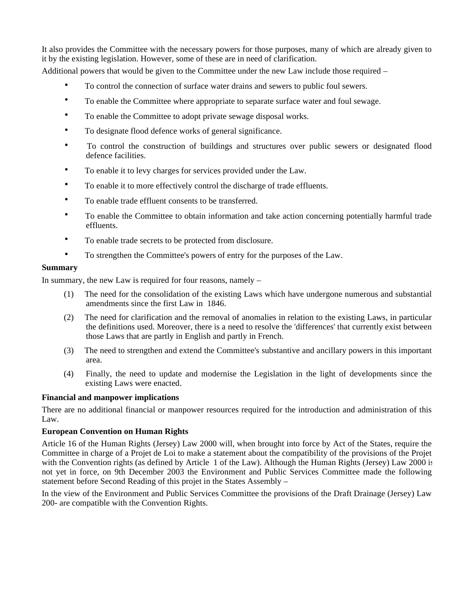It also provides the Committee with the necessary powers for those purposes, many of which are already given to it by the existing legislation. However, some of these are in need of clarification.

Additional powers that would be given to the Committee under the new Law include those required –

- To control the connection of surface water drains and sewers to public foul sewers.
- To enable the Committee where appropriate to separate surface water and foul sewage.
- To enable the Committee to adopt private sewage disposal works.
- To designate flood defence works of general significance.
- To control the construction of buildings and structures over public sewers or designated flood defence facilities.
- To enable it to levy charges for services provided under the Law.
- To enable it to more effectively control the discharge of trade effluents.
- To enable trade effluent consents to be transferred.
- To enable the Committee to obtain information and take action concerning potentially harmful trade effluents.
- To enable trade secrets to be protected from disclosure.
- To strengthen the Committee's powers of entry for the purposes of the Law.

#### **Summary**

In summary, the new Law is required for four reasons, namely –

- (1) The need for the consolidation of the existing Laws which have undergone numerous and substantial amendments since the first Law in 1846.
- (2) The need for clarification and the removal of anomalies in relation to the existing Laws, in particular the definitions used. Moreover, there is a need to resolve the 'differences' that currently exist between those Laws that are partly in English and partly in French.
- (3) The need to strengthen and extend the Committee's substantive and ancillary powers in this important area.
- (4) Finally, the need to update and modernise the Legislation in the light of developments since the existing Laws were enacted.

#### **Financial and manpower implications**

There are no additional financial or manpower resources required for the introduction and administration of this Law.

#### **European Convention on Human Rights**

Article 16 of the Human Rights (Jersey) Law 2000 will, when brought into force by Act of the States, require the Committee in charge of a Projet de Loi to make a statement about the compatibility of the provisions of the Projet with the Convention rights (as defined by Article 1 of the Law). Although the Human Rights (Jersey) Law 2000 is not yet in force, on 9th December 2003 the Environment and Public Services Committee made the following statement before Second Reading of this projet in the States Assembly –

In the view of the Environment and Public Services Committee the provisions of the Draft Drainage (Jersey) Law 200- are compatible with the Convention Rights.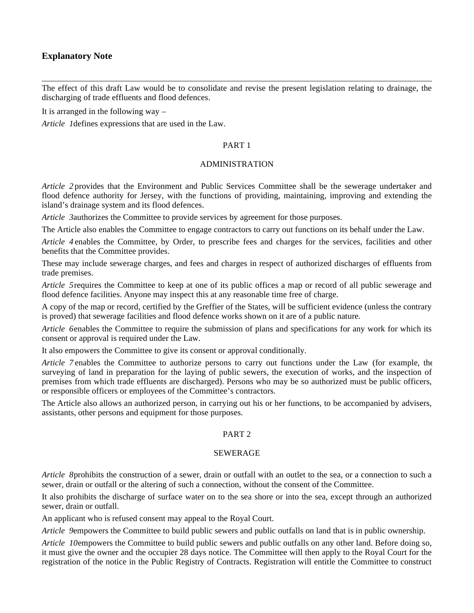#### **Explanatory Note**

The effect of this draft Law would be to consolidate and revise the present legislation relating to drainage, the discharging of trade effluents and flood defences.

It is arranged in the following way –

*Article 1* defines expressions that are used in the Law.

#### PART 1

#### ADMINISTRATION

*Article 2* provides that the Environment and Public Services Committee shall be the sewerage undertaker and flood defence authority for Jersey, with the functions of providing, maintaining, improving and extending the island's drainage system and its flood defences.

*Article 3* authorizes the Committee to provide services by agreement for those purposes.

The Article also enables the Committee to engage contractors to carry out functions on its behalf under the Law.

*Article 4* enables the Committee, by Order, to prescribe fees and charges for the services, facilities and other benefits that the Committee provides.

These may include sewerage charges, and fees and charges in respect of authorized discharges of effluents from trade premises.

*Article 5* requires the Committee to keep at one of its public offices a map or record of all public sewerage and flood defence facilities. Anyone may inspect this at any reasonable time free of charge.

A copy of the map or record, certified by the Greffier of the States, will be sufficient evidence (unless the contrary is proved) that sewerage facilities and flood defence works shown on it are of a public nature.

*Article 6* enables the Committee to require the submission of plans and specifications for any work for which its consent or approval is required under the Law.

It also empowers the Committee to give its consent or approval conditionally.

*Article 7* enables the Committee to authorize persons to carry out functions under the Law (for example, the surveying of land in preparation for the laying of public sewers, the execution of works, and the inspection of premises from which trade effluents are discharged). Persons who may be so authorized must be public officers, or responsible officers or employees of the Committee's contractors.

The Article also allows an authorized person, in carrying out his or her functions, to be accompanied by advisers, assistants, other persons and equipment for those purposes.

#### PART 2

#### SEWERAGE

*Article 8* prohibits the construction of a sewer, drain or outfall with an outlet to the sea, or a connection to such a sewer, drain or outfall or the altering of such a connection, without the consent of the Committee.

It also prohibits the discharge of surface water on to the sea shore or into the sea, except through an authorized sewer, drain or outfall.

An applicant who is refused consent may appeal to the Royal Court.

*Article 9* empowers the Committee to build public sewers and public outfalls on land that is in public ownership.

*Article 10* empowers the Committee to build public sewers and public outfalls on any other land. Before doing so, it must give the owner and the occupier 28 days notice. The Committee will then apply to the Royal Court for the registration of the notice in the Public Registry of Contracts. Registration will entitle the Committee to construct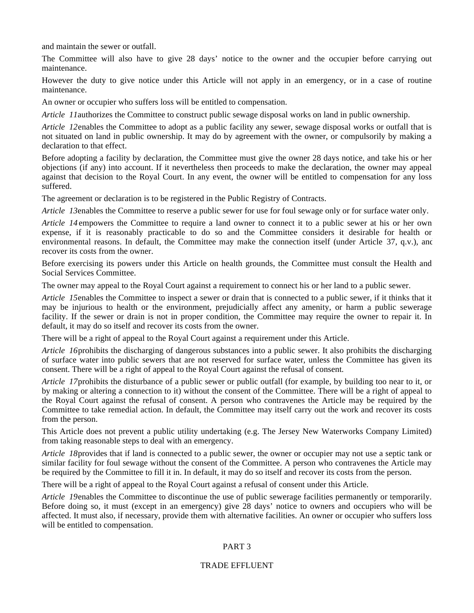and maintain the sewer or outfall.

The Committee will also have to give 28 days' notice to the owner and the occupier before carrying out maintenance.

However the duty to give notice under this Article will not apply in an emergency, or in a case of routine maintenance.

An owner or occupier who suffers loss will be entitled to compensation.

*Article 11* authorizes the Committee to construct public sewage disposal works on land in public ownership.

*Article 12* enables the Committee to adopt as a public facility any sewer, sewage disposal works or outfall that is not situated on land in public ownership. It may do by agreement with the owner, or compulsorily by making a declaration to that effect.

Before adopting a facility by declaration, the Committee must give the owner 28 days notice, and take his or her objections (if any) into account. If it nevertheless then proceeds to make the declaration, the owner may appeal against that decision to the Royal Court. In any event, the owner will be entitled to compensation for any loss suffered.

The agreement or declaration is to be registered in the Public Registry of Contracts.

*Article 13* enables the Committee to reserve a public sewer for use for foul sewage only or for surface water only.

*Article 14* empowers the Committee to require a land owner to connect it to a public sewer at his or her own expense, if it is reasonably practicable to do so and the Committee considers it desirable for health or environmental reasons. In default, the Committee may make the connection itself (under Article 37, q.v.), and recover its costs from the owner.

Before exercising its powers under this Article on health grounds, the Committee must consult the Health and Social Services Committee.

The owner may appeal to the Royal Court against a requirement to connect his or her land to a public sewer.

*Article 15* enables the Committee to inspect a sewer or drain that is connected to a public sewer, if it thinks that it may be injurious to health or the environment, prejudicially affect any amenity, or harm a public sewerage facility. If the sewer or drain is not in proper condition, the Committee may require the owner to repair it. In default, it may do so itself and recover its costs from the owner.

There will be a right of appeal to the Royal Court against a requirement under this Article.

*Article 16* prohibits the discharging of dangerous substances into a public sewer. It also prohibits the discharging of surface water into public sewers that are not reserved for surface water, unless the Committee has given its consent. There will be a right of appeal to the Royal Court against the refusal of consent.

*Article 17* prohibits the disturbance of a public sewer or public outfall (for example, by building too near to it, or by making or altering a connection to it) without the consent of the Committee. There will be a right of appeal to the Royal Court against the refusal of consent. A person who contravenes the Article may be required by the Committee to take remedial action. In default, the Committee may itself carry out the work and recover its costs from the person.

This Article does not prevent a public utility undertaking (e.g. The Jersey New Waterworks Company Limited) from taking reasonable steps to deal with an emergency.

*Article 18* provides that if land is connected to a public sewer, the owner or occupier may not use a septic tank or similar facility for foul sewage without the consent of the Committee. A person who contravenes the Article may be required by the Committee to fill it in. In default, it may do so itself and recover its costs from the person.

There will be a right of appeal to the Royal Court against a refusal of consent under this Article.

*Article 19* enables the Committee to discontinue the use of public sewerage facilities permanently or temporarily. Before doing so, it must (except in an emergency) give 28 days' notice to owners and occupiers who will be affected. It must also, if necessary, provide them with alternative facilities. An owner or occupier who suffers loss will be entitled to compensation.

#### PART 3

#### TRADE EFFLUENT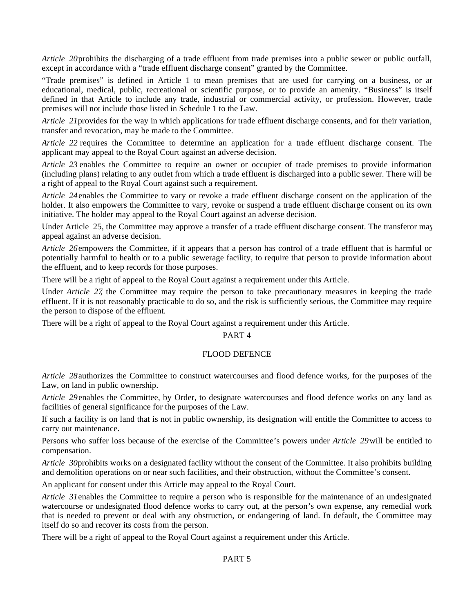*Article 20* prohibits the discharging of a trade effluent from trade premises into a public sewer or public outfall, except in accordance with a "trade effluent discharge consent" granted by the Committee.

"Trade premises" is defined in Article 1 to mean premises that are used for carrying on a business, or an educational, medical, public, recreational or scientific purpose, or to provide an amenity. "Business" is itself defined in that Article to include any trade, industrial or commercial activity, or profession. However, trade premises will not include those listed in Schedule 1 to the Law.

*Article 21* provides for the way in which applications for trade effluent discharge consents, and for their variation, transfer and revocation, may be made to the Committee.

*Article 22* requires the Committee to determine an application for a trade effluent discharge consent. The applicant may appeal to the Royal Court against an adverse decision.

*Article 23* enables the Committee to require an owner or occupier of trade premises to provide information (including plans) relating to any outlet from which a trade effluent is discharged into a public sewer. There will be a right of appeal to the Royal Court against such a requirement.

*Article 24* enables the Committee to vary or revoke a trade effluent discharge consent on the application of the holder. It also empowers the Committee to vary, revoke or suspend a trade effluent discharge consent on its own initiative. The holder may appeal to the Royal Court against an adverse decision.

Under Article 25, the Committee may approve a transfer of a trade effluent discharge consent. The transferor may appeal against an adverse decision.

*Article 26* empowers the Committee, if it appears that a person has control of a trade effluent that is harmful or potentially harmful to health or to a public sewerage facility, to require that person to provide information about the effluent, and to keep records for those purposes.

There will be a right of appeal to the Royal Court against a requirement under this Article.

Under *Article 27*, the Committee may require the person to take precautionary measures in keeping the trade effluent. If it is not reasonably practicable to do so, and the risk is sufficiently serious, the Committee may require the person to dispose of the effluent.

There will be a right of appeal to the Royal Court against a requirement under this Article.

#### PART 4

#### FLOOD DEFENCE

*Article 28* authorizes the Committee to construct watercourses and flood defence works, for the purposes of the Law, on land in public ownership.

*Article 29* enables the Committee, by Order, to designate watercourses and flood defence works on any land as facilities of general significance for the purposes of the Law.

If such a facility is on land that is not in public ownership, its designation will entitle the Committee to access to carry out maintenance.

Persons who suffer loss because of the exercise of the Committee's powers under *Article 29* will be entitled to compensation.

*Article 30* prohibits works on a designated facility without the consent of the Committee. It also prohibits building and demolition operations on or near such facilities, and their obstruction, without the Committee's consent.

An applicant for consent under this Article may appeal to the Royal Court.

*Article 31* enables the Committee to require a person who is responsible for the maintenance of an undesignated watercourse or undesignated flood defence works to carry out, at the person's own expense, any remedial work that is needed to prevent or deal with any obstruction, or endangering of land. In default, the Committee may itself do so and recover its costs from the person.

There will be a right of appeal to the Royal Court against a requirement under this Article.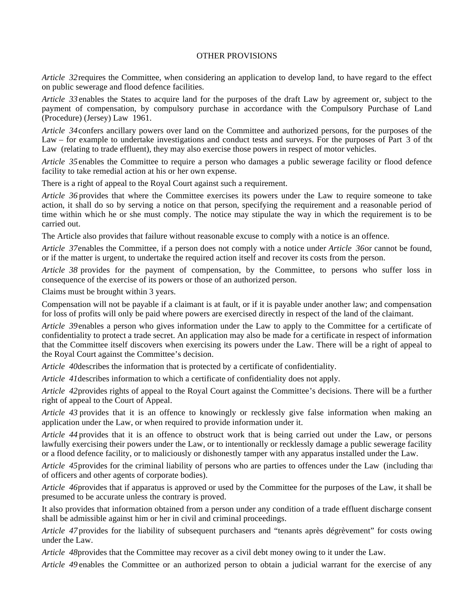#### OTHER PROVISIONS

*Article 32* requires the Committee, when considering an application to develop land, to have regard to the effect on public sewerage and flood defence facilities.

*Article 33* enables the States to acquire land for the purposes of the draft Law by agreement or, subject to the payment of compensation, by compulsory purchase in accordance with the Compulsory Purchase of Land (Procedure) (Jersey) Law 1961.

*Article 34* confers ancillary powers over land on the Committee and authorized persons, for the purposes of the Law – for example to undertake investigations and conduct tests and surveys. For the purposes of Part 3 of the Law (relating to trade effluent), they may also exercise those powers in respect of motor vehicles.

*Article 35* enables the Committee to require a person who damages a public sewerage facility or flood defence facility to take remedial action at his or her own expense.

There is a right of appeal to the Royal Court against such a requirement.

*Article 36* provides that where the Committee exercises its powers under the Law to require someone to take action, it shall do so by serving a notice on that person, specifying the requirement and a reasonable period of time within which he or she must comply. The notice may stipulate the way in which the requirement is to be carried out.

The Article also provides that failure without reasonable excuse to comply with a notice is an offence.

*Article 37* enables the Committee, if a person does not comply with a notice under *Article 36* or cannot be found, or if the matter is urgent, to undertake the required action itself and recover its costs from the person.

*Article 38* provides for the payment of compensation, by the Committee, to persons who suffer loss in consequence of the exercise of its powers or those of an authorized person.

Claims must be brought within 3 years.

Compensation will not be payable if a claimant is at fault, or if it is payable under another law; and compensation for loss of profits will only be paid where powers are exercised directly in respect of the land of the claimant.

*Article 39* enables a person who gives information under the Law to apply to the Committee for a certificate of confidentiality to protect a trade secret. An application may also be made for a certificate in respect of information that the Committee itself discovers when exercising its powers under the Law. There will be a right of appeal to the Royal Court against the Committee's decision.

*Article 40* describes the information that is protected by a certificate of confidentiality.

*Article 41* describes information to which a certificate of confidentiality does not apply.

*Article 42* provides rights of appeal to the Royal Court against the Committee's decisions. There will be a further right of appeal to the Court of Appeal.

*Article 43* provides that it is an offence to knowingly or recklessly give false information when making an application under the Law, or when required to provide information under it.

*Article 44* provides that it is an offence to obstruct work that is being carried out under the Law, or persons lawfully exercising their powers under the Law, or to intentionally or recklessly damage a public sewerage facility or a flood defence facility, or to maliciously or dishonestly tamper with any apparatus installed under the Law.

*Article 45* provides for the criminal liability of persons who are parties to offences under the Law (including that of officers and other agents of corporate bodies).

*Article 46* provides that if apparatus is approved or used by the Committee for the purposes of the Law, it shall be presumed to be accurate unless the contrary is proved.

It also provides that information obtained from a person under any condition of a trade effluent discharge consent shall be admissible against him or her in civil and criminal proceedings.

*Article 47* provides for the liability of subsequent purchasers and "tenants après dégrèvement" for costs owing under the Law.

*Article 48* provides that the Committee may recover as a civil debt money owing to it under the Law.

*Article 49* enables the Committee or an authorized person to obtain a judicial warrant for the exercise of any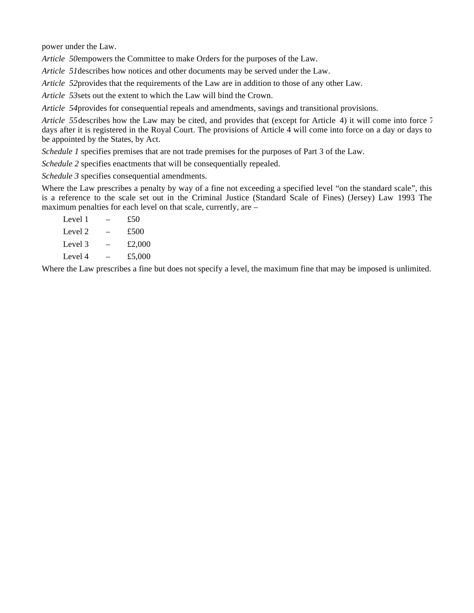power under the Law.

*Article 50* empowers the Committee to make Orders for the purposes of the Law.

*Article 51* describes how notices and other documents may be served under the Law.

*Article 52* provides that the requirements of the Law are in addition to those of any other Law.

*Article 53* sets out the extent to which the Law will bind the Crown.

*Article 54* provides for consequential repeals and amendments, savings and transitional provisions.

*Article 55* describes how the Law may be cited, and provides that (except for Article 4) it will come into force 7 days after it is registered in the Royal Court. The provisions of Article 4 will come into force on a day or days to be appointed by the States, by Act.

*Schedule 1* specifies premises that are not trade premises for the purposes of Part 3 of the Law.

*Schedule 2* specifies enactments that will be consequentially repealed.

*Schedule 3* specifies consequential amendments.

Where the Law prescribes a penalty by way of a fine not exceeding a specified level "on the standard scale", this is a reference to the scale set out in the Criminal Justice (Standard Scale of Fines) (Jersey) Law 1993. The maximum penalties for each level on that scale, currently, are –

| £50    |
|--------|
| £500   |
| £2,000 |
| £5,000 |
|        |

Where the Law prescribes a fine but does not specify a level, the maximum fine that may be imposed is unlimited.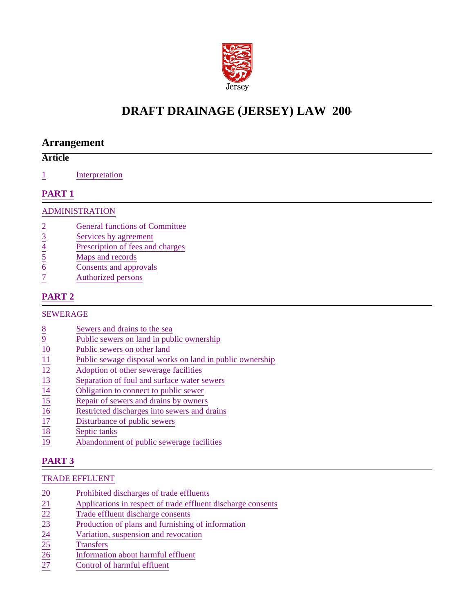

## **DRAFT DRAINAGE (JERSEY) LAW 200-**

## **Arrangement**

## **Article**

1 Interpretation

## **PART 1**

### ADMINISTRATION

- 
- Services by agreement
- $rac{2}{3}$  General functions of Committee<br>
Services by agreement<br>
Prescription of fees and charges<br>
Maps and records<br>
Consents and approvals<br>
Tuthorized persons Prescription of fees and charges
- Maps and records
- Consents and approvals
- Authorized persons

## **PART 2**

## SEWERAGE

- 
- Public sewers on land in public ownership
- Public sewers on other land
- Public sewage disposal works on land in public ownership
- Adoption of other sewerage facilities
- Separation of foul and surface water sewers
- Obligation to connect to public sewer
- Repair of sewers and drains by owners
- Restricted discharges into sewers and drains
- $rac{8}{9}$ <br>
<u>Bewers and drains to the sea</u><br>
<u>Public sewers on land in public sewers on other land</u><br>
<u>Public sewers on other land</u><br>
<u>Public sewers on other land</u><br>
<u>Public sewers on other land</u><br>
<u>Public sewers on other sewera</u> Disturbance of public sewers
- Septic tanks
- 19 Abandonment of public sewerage facilities

## **PART 3**

## TRADE EFFLUENT

- 
- Applications in respect of trade effluent discharge consents
- Trade effluent discharge consents
- $\frac{20}{21}$ <br>
Prohibited discharges of trade effluents<br>  $\frac{22}{22}$ <br>
Trade effluent discharge consents<br>
Production of plans and furnishing of in<br>
Variation, suspension and revocation<br>
Transfers<br>  $\frac{25}{26}$ <br>
Information ab Production of plans and furnishing of information
- Variation, suspension and revocation
- **Transfers**
- 26 Information about harmful effluent
- Control of harmful effluent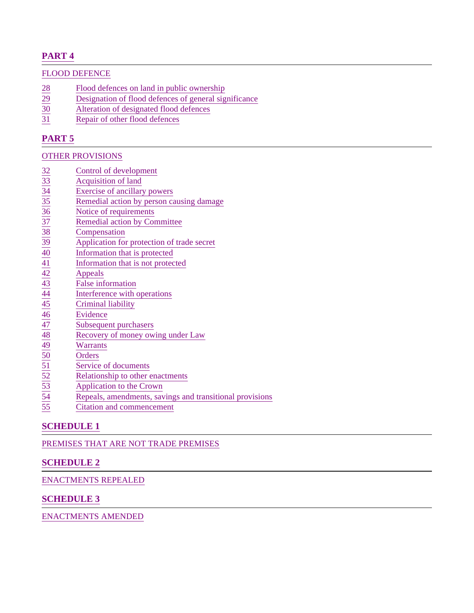## **PART 4**

#### FLOOD DEFENCE

- 28 Flood defences on land in public ownership<br>29 Designation of flood defences of general sig
- 29 Designation of flood defences of general significance<br>30 Alteration of designated flood defences
- Alteration of designated flood defences
- 31 Repair of other flood defences

## **PART 5**

#### OTHER PROVISIONS

- 
- Acquisition of land
- Exercise of ancillary powers
- Remedial action by person causing damage
- Notice of requirements
- Remedial action by Committee
- **Compensation**
- 39 Application for protection of trade secret
- Information that is protected
- 41 Information that is not protected
- **Appeals**
- False information
- Interference with operations
- Criminal liability
- **Evidence**
- Subsequent purchasers
- Recovery of money owing under Law
- Warrants
- **Orders**
- Service of documents
- Relationship to other enactments
- $\begin{array}{r|l}\n \hline\n 32 & \text{Control of development} \n \hline\n \hline\n 33 & \text{Acquisition of land} \n \hline\n 34 & \text{Exercise of ancillary pov} \n \hline\n 35 & \text{Remote of requirements} \n \hline\n 36 & \text{Notice of requirements} \n \hline\n 37 & \text{Remedial action by Corn} \n \hline\n 38 & \text{Compensation} \n \hline\n 39 & \text{Application for protective Information that is not a a B. \n \hline\n 41 & \text{Information that is not a a B. \n \hline\n 42 & \text{Appeals} \n \hline\n 43 & \text{Interference with operation} \n \$ 53 Application to the Crown
- Repeals, amendments, savings and transitional provisions
- Citation and commencement

## **SCHEDULE 1**

PREMISES THAT ARE NOT TRADE PREMISES

## **SCHEDULE 2**

#### ENACTMENTS REPEALED

#### **SCHEDULE 3**

ENACTMENTS AMENDED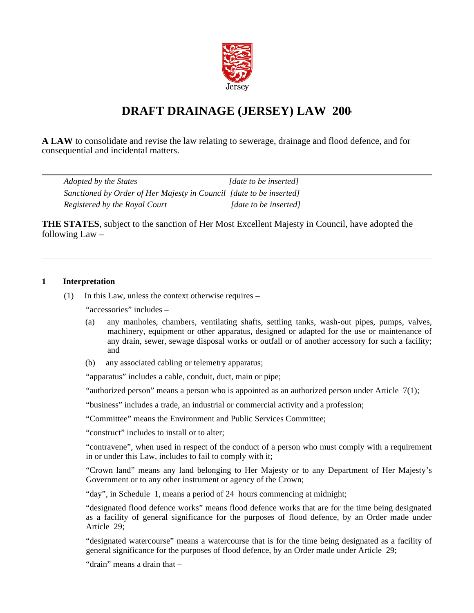

## **DRAFT DRAINAGE (JERSEY) LAW 200-**

**A LAW** to consolidate and revise the law relating to sewerage, drainage and flood defence, and for consequential and incidental matters.

| Adopted by the States                                               | [date to be inserted] |
|---------------------------------------------------------------------|-----------------------|
| Sanctioned by Order of Her Majesty in Council [date to be inserted] |                       |
| Registered by the Royal Court                                       | [date to be inserted] |

**THE STATES**, subject to the sanction of Her Most Excellent Majesty in Council, have adopted the following  $Law -$ 

#### **1 Interpretation**

(1) In this Law, unless the context otherwise requires –

"accessories" includes –

- (a) any manholes, chambers, ventilating shafts, settling tanks, wash-out pipes, pumps, valves, machinery, equipment or other apparatus, designed or adapted for the use or maintenance of any drain, sewer, sewage disposal works or outfall or of another accessory for such a facility; and
- (b) any associated cabling or telemetry apparatus;

"apparatus" includes a cable, conduit, duct, main or pipe;

"authorized person" means a person who is appointed as an authorized person under Article  $7(1)$ ;

"business" includes a trade, an industrial or commercial activity and a profession;

"Committee" means the Environment and Public Services Committee;

"construct" includes to install or to alter;

"contravene", when used in respect of the conduct of a person who must comply with a requirement in or under this Law, includes to fail to comply with it;

"Crown land" means any land belonging to Her Majesty or to any Department of Her Majesty's Government or to any other instrument or agency of the Crown;

"day", in Schedule 1, means a period of 24 hours commencing at midnight;

"designated flood defence works" means flood defence works that are for the time being designated as a facility of general significance for the purposes of flood defence, by an Order made under Article 29;

"designated watercourse" means a watercourse that is for the time being designated as a facility of general significance for the purposes of flood defence, by an Order made under Article 29;

"drain" means a drain that –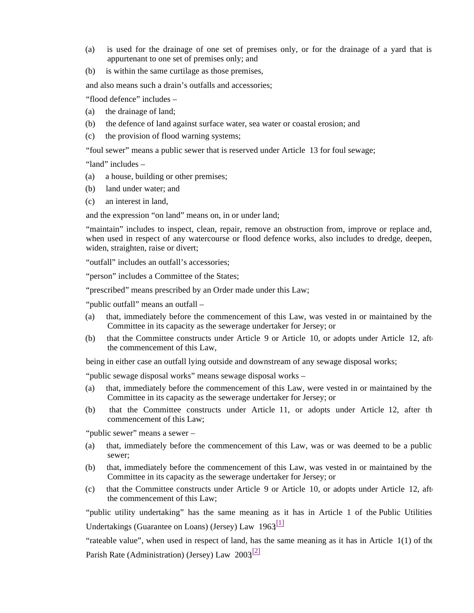- (a) is used for the drainage of one set of premises only, or for the drainage of a yard that is appurtenant to one set of premises only; and
- (b) is within the same curtilage as those premises,

and also means such a drain's outfalls and accessories;

"flood defence" includes –

- (a) the drainage of land;
- (b) the defence of land against surface water, sea water or coastal erosion; and
- (c) the provision of flood warning systems;

"foul sewer" means a public sewer that is reserved under Article 13 for foul sewage;

"land" includes –

- (a) a house, building or other premises;
- (b) land under water; and
- (c) an interest in land,

and the expression "on land" means on, in or under land;

"maintain" includes to inspect, clean, repair, remove an obstruction from, improve or replace and, when used in respect of any watercourse or flood defence works, also includes to dredge, deepen, widen, straighten, raise or divert;

"outfall" includes an outfall's accessories;

"person" includes a Committee of the States;

"prescribed" means prescribed by an Order made under this Law;

"public outfall" means an outfall –

- (a) that, immediately before the commencement of this Law, was vested in or maintained by the Committee in its capacity as the sewerage undertaker for Jersey; or
- (b) that the Committee constructs under Article 9 or Article 10, or adopts under Article 12, after the commencement of this Law,

being in either case an outfall lying outside and downstream of any sewage disposal works;

"public sewage disposal works" means sewage disposal works –

- (a) that, immediately before the commencement of this Law, were vested in or maintained by the Committee in its capacity as the sewerage undertaker for Jersey; or
- (b) that the Committee constructs under Article 11, or adopts under Article 12, after the commencement of this Law;

"public sewer" means a sewer –

- (a) that, immediately before the commencement of this Law, was or was deemed to be a public sewer;
- (b) that, immediately before the commencement of this Law, was vested in or maintained by the Committee in its capacity as the sewerage undertaker for Jersey; or
- $(c)$  that the Committee constructs under Article 9 or Article 10, or adopts under Article 12, after the commencement of this Law;

"public utility undertaking" has the same meaning as it has in Article 1 of the Public Utilities Undertakings (Guarantee on Loans) (Jersey) Law  $1963$ <sup>[1]</sup>

"rateable value", when used in respect of land, has the same meaning as it has in Article 1(1) of the Parish Rate (Administration) (Jersey) Law  $2003^{[2]}$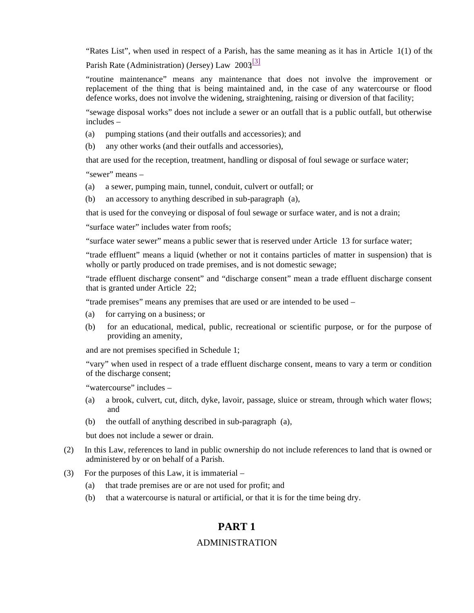"Rates List", when used in respect of a Parish, has the same meaning as it has in Article 1(1) of the Parish Rate (Administration) (Jersey) Law  $2003^{[3]}$ 

"routine maintenance" means any maintenance that does not involve the improvement or replacement of the thing that is being maintained and, in the case of any watercourse or flood defence works, does not involve the widening, straightening, raising or diversion of that facility;

"sewage disposal works" does not include a sewer or an outfall that is a public outfall, but otherwise includes –

- (a) pumping stations (and their outfalls and accessories); and
- (b) any other works (and their outfalls and accessories),

that are used for the reception, treatment, handling or disposal of foul sewage or surface water;

"sewer" means –

- (a) a sewer, pumping main, tunnel, conduit, culvert or outfall; or
- (b) an accessory to anything described in sub-paragraph (a),

that is used for the conveying or disposal of foul sewage or surface water, and is not a drain;

"surface water" includes water from roofs;

"surface water sewer" means a public sewer that is reserved under Article 13 for surface water;

"trade effluent" means a liquid (whether or not it contains particles of matter in suspension) that is wholly or partly produced on trade premises, and is not domestic sewage;

"trade effluent discharge consent" and "discharge consent" mean a trade effluent discharge consent that is granted under Article 22;

"trade premises" means any premises that are used or are intended to be used –

- (a) for carrying on a business; or
- (b) for an educational, medical, public, recreational or scientific purpose, or for the purpose of providing an amenity,

and are not premises specified in Schedule 1;

"vary" when used in respect of a trade effluent discharge consent, means to vary a term or condition of the discharge consent;

"watercourse" includes -

- (a) a brook, culvert, cut, ditch, dyke, lavoir, passage, sluice or stream, through which water flows; and
- (b) the outfall of anything described in sub-paragraph (a),

but does not include a sewer or drain.

- (2) In this Law, references to land in public ownership do not include references to land that is owned or administered by or on behalf of a Parish.
- (3) For the purposes of this Law, it is immaterial
	- (a) that trade premises are or are not used for profit; and
	- (b) that a watercourse is natural or artificial, or that it is for the time being dry.

## **PART 1**

#### ADMINISTRATION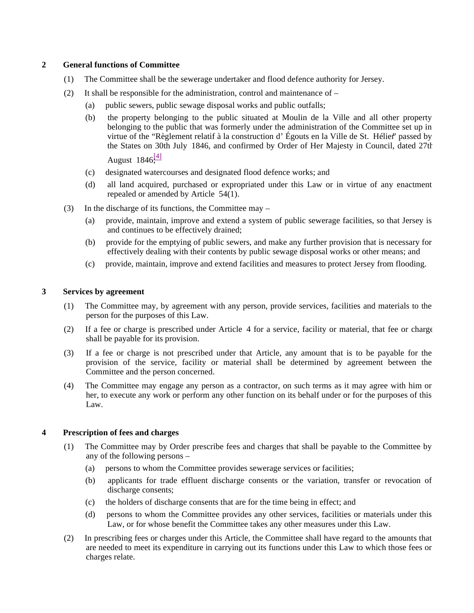#### **2 General functions of Committee**

- (1) The Committee shall be the sewerage undertaker and flood defence authority for Jersey.
- (2) It shall be responsible for the administration, control and maintenance of  $-$ 
	- (a) public sewers, public sewage disposal works and public outfalls;
	- (b) the property belonging to the public situated at Moulin de la Ville and all other property belonging to the public that was formerly under the administration of the Committee set up in virtue of the "Règlement relatif à la construction d' Égouts en la Ville de St. Hélier" passed by the States on 30th July 1846, and confirmed by Order of Her Majesty in Council, dated 27th August  $1846^{[4]}$

- (c) designated watercourses and designated flood defence works; and
- (d) all land acquired, purchased or expropriated under this Law or in virtue of any enactment repealed or amended by Article 54(1).
- (3) In the discharge of its functions, the Committee may
	- (a) provide, maintain, improve and extend a system of public sewerage facilities, so that Jersey is and continues to be effectively drained;
	- (b) provide for the emptying of public sewers, and make any further provision that is necessary for effectively dealing with their contents by public sewage disposal works or other means; and
	- (c) provide, maintain, improve and extend facilities and measures to protect Jersey from flooding.

#### **3 Services by agreement**

- (1) The Committee may, by agreement with any person, provide services, facilities and materials to the person for the purposes of this Law.
- (2) If a fee or charge is prescribed under Article 4 for a service, facility or material, that fee or charge shall be payable for its provision.
- (3) If a fee or charge is not prescribed under that Article, any amount that is to be payable for the provision of the service, facility or material shall be determined by agreement between the Committee and the person concerned.
- (4) The Committee may engage any person as a contractor, on such terms as it may agree with him or her, to execute any work or perform any other function on its behalf under or for the purposes of this Law.

#### **4 Prescription of fees and charges**

- (1) The Committee may by Order prescribe fees and charges that shall be payable to the Committee by any of the following persons –
	- (a) persons to whom the Committee provides sewerage services or facilities;
	- (b) applicants for trade effluent discharge consents or the variation, transfer or revocation of discharge consents;
	- (c) the holders of discharge consents that are for the time being in effect; and
	- (d) persons to whom the Committee provides any other services, facilities or materials under this Law, or for whose benefit the Committee takes any other measures under this Law.
- (2) In prescribing fees or charges under this Article, the Committee shall have regard to the amounts that are needed to meet its expenditure in carrying out its functions under this Law to which those fees or charges relate.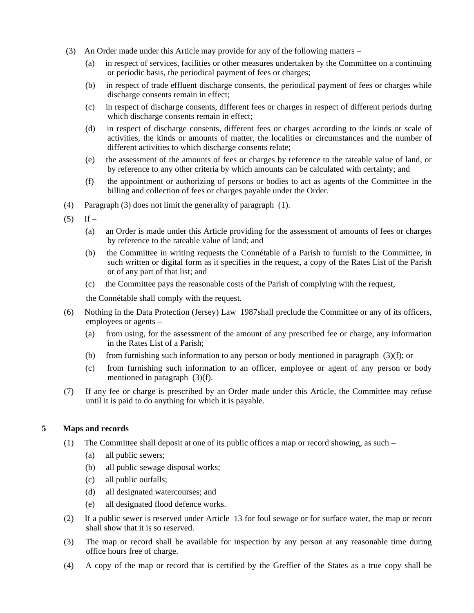- (3) An Order made under this Article may provide for any of the following matters
	- (a) in respect of services, facilities or other measures undertaken by the Committee on a continuing or periodic basis, the periodical payment of fees or charges;
	- (b) in respect of trade effluent discharge consents, the periodical payment of fees or charges while discharge consents remain in effect;
	- (c) in respect of discharge consents, different fees or charges in respect of different periods during which discharge consents remain in effect:
	- (d) in respect of discharge consents, different fees or charges according to the kinds or scale of activities, the kinds or amounts of matter, the localities or circumstances and the number of different activities to which discharge consents relate;
	- (e) the assessment of the amounts of fees or charges by reference to the rateable value of land, or by reference to any other criteria by which amounts can be calculated with certainty; and
	- (f) the appointment or authorizing of persons or bodies to act as agents of the Committee in the billing and collection of fees or charges payable under the Order.
- (4) Paragraph (3) does not limit the generality of paragraph (1).
- $(5)$  If
	- (a) an Order is made under this Article providing for the assessment of amounts of fees or charges by reference to the rateable value of land; and
	- (b) the Committee in writing requests the Connétable of a Parish to furnish to the Committee, in such written or digital form as it specifies in the request, a copy of the Rates List of the Parish or of any part of that list; and
	- (c) the Committee pays the reasonable costs of the Parish of complying with the request,

the Connétable shall comply with the request.

- (6) Nothing in the Data Protection (Jersey) Law 1987 shall preclude the Committee or any of its officers, employees or agents –
	- (a) from using, for the assessment of the amount of any prescribed fee or charge, any information in the Rates List of a Parish;
	- (b) from furnishing such information to any person or body mentioned in paragraph (3)(f); or
	- (c) from furnishing such information to an officer, employee or agent of any person or body mentioned in paragraph (3)(f).
- (7) If any fee or charge is prescribed by an Order made under this Article, the Committee may refuse until it is paid to do anything for which it is payable.

#### **5 Maps and records**

- (1) The Committee shall deposit at one of its public offices a map or record showing, as such
	- (a) all public sewers;
	- (b) all public sewage disposal works;
	- (c) all public outfalls;
	- (d) all designated watercourses; and
	- (e) all designated flood defence works.
- (2) If a public sewer is reserved under Article 13 for foul sewage or for surface water, the map or record shall show that it is so reserved.
- (3) The map or record shall be available for inspection by any person at any reasonable time during office hours free of charge.
- (4) A copy of the map or record that is certified by the Greffier of the States as a true copy shall be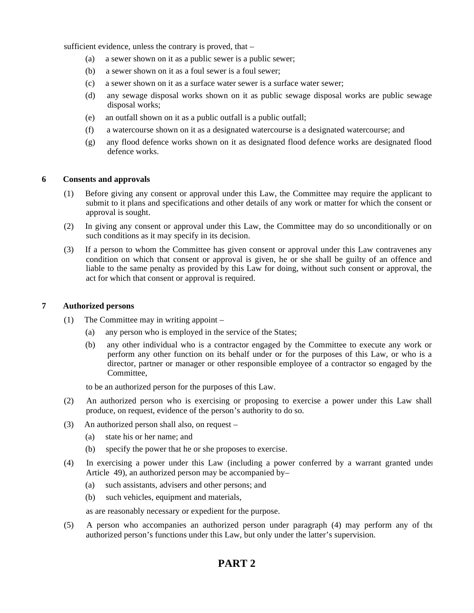sufficient evidence, unless the contrary is proved, that –

- (a) a sewer shown on it as a public sewer is a public sewer;
- (b) a sewer shown on it as a foul sewer is a foul sewer;
- (c) a sewer shown on it as a surface water sewer is a surface water sewer;
- (d) any sewage disposal works shown on it as public sewage disposal works are public sewage disposal works;
- (e) an outfall shown on it as a public outfall is a public outfall;
- (f) a watercourse shown on it as a designated watercourse is a designated watercourse; and
- (g) any flood defence works shown on it as designated flood defence works are designated flood defence works.

#### **6 Consents and approvals**

- (1) Before giving any consent or approval under this Law, the Committee may require the applicant to submit to it plans and specifications and other details of any work or matter for which the consent or approval is sought.
- (2) In giving any consent or approval under this Law, the Committee may do so unconditionally or on such conditions as it may specify in its decision.
- (3) If a person to whom the Committee has given consent or approval under this Law contravenes any condition on which that consent or approval is given, he or she shall be guilty of an offence and liable to the same penalty as provided by this Law for doing, without such consent or approval, the act for which that consent or approval is required.

#### **7 Authorized persons**

- (1) The Committee may in writing appoint
	- (a) any person who is employed in the service of the States;
	- (b) any other individual who is a contractor engaged by the Committee to execute any work or perform any other function on its behalf under or for the purposes of this Law, or who is a director, partner or manager or other responsible employee of a contractor so engaged by the Committee,

to be an authorized person for the purposes of this Law.

- (2) An authorized person who is exercising or proposing to exercise a power under this Law shall produce, on request, evidence of the person's authority to do so.
- (3) An authorized person shall also, on request
	- (a) state his or her name; and
	- (b) specify the power that he or she proposes to exercise.
- (4) In exercising a power under this Law (including a power conferred by a warrant granted under Article 49), an authorized person may be accompanied by –
	- (a) such assistants, advisers and other persons; and
	- (b) such vehicles, equipment and materials,

as are reasonably necessary or expedient for the purpose.

(5) A person who accompanies an authorized person under paragraph (4) may perform any of the authorized person's functions under this Law, but only under the latter's supervision.

## **PART 2**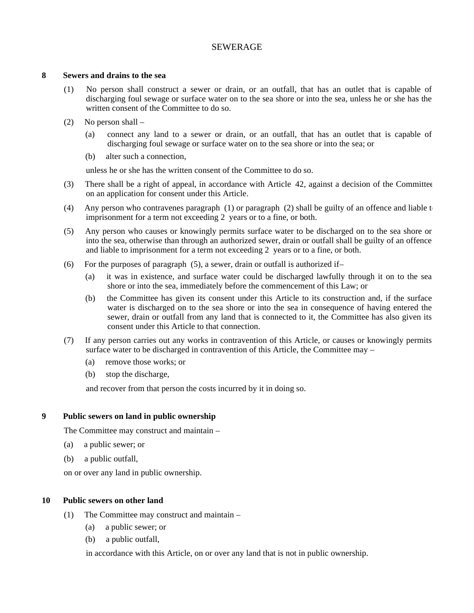#### SEWERAGE

#### **8 Sewers and drains to the sea**

- (1) No person shall construct a sewer or drain, or an outfall, that has an outlet that is capable of discharging foul sewage or surface water on to the sea shore or into the sea, unless he or she has the written consent of the Committee to do so.
- (2) No person shall
	- (a) connect any land to a sewer or drain, or an outfall, that has an outlet that is capable of discharging foul sewage or surface water on to the sea shore or into the sea; or
	- (b) alter such a connection,

unless he or she has the written consent of the Committee to do so.

- (3) There shall be a right of appeal, in accordance with Article 42, against a decision of the Committee on an application for consent under this Article.
- (4) Any person who contravenes paragraph (1) or paragraph (2) shall be guilty of an offence and liable  $t_0$ imprisonment for a term not exceeding 2 years or to a fine, or both.
- (5) Any person who causes or knowingly permits surface water to be discharged on to the sea shore or into the sea, otherwise than through an authorized sewer, drain or outfall shall be guilty of an offence and liable to imprisonment for a term not exceeding 2 years or to a fine, or both.
- (6) For the purposes of paragraph  $(5)$ , a sewer, drain or outfall is authorized if-
	- (a) it was in existence, and surface water could be discharged lawfully through it on to the sea shore or into the sea, immediately before the commencement of this Law; or
	- (b) the Committee has given its consent under this Article to its construction and, if the surface water is discharged on to the sea shore or into the sea in consequence of having entered the sewer, drain or outfall from any land that is connected to it, the Committee has also given its consent under this Article to that connection.
- (7) If any person carries out any works in contravention of this Article, or causes or knowingly permits surface water to be discharged in contravention of this Article, the Committee may –
	- (a) remove those works; or
	- (b) stop the discharge,

and recover from that person the costs incurred by it in doing so.

#### **9 Public sewers on land in public ownership**

The Committee may construct and maintain –

- (a) a public sewer; or
- (b) a public outfall,

on or over any land in public ownership.

#### **10 Public sewers on other land**

- (1) The Committee may construct and maintain
	- (a) a public sewer; or
	- (b) a public outfall,

in accordance with this Article, on or over any land that is not in public ownership.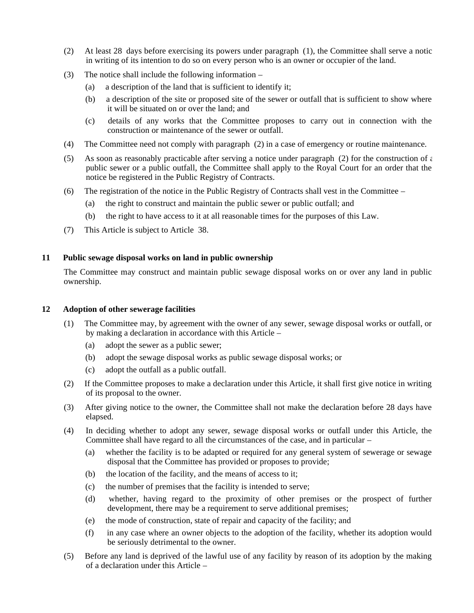- (2) At least 28 days before exercising its powers under paragraph (1), the Committee shall serve a notice in writing of its intention to do so on every person who is an owner or occupier of the land.
- (3) The notice shall include the following information
	- (a) a description of the land that is sufficient to identify it;
	- (b) a description of the site or proposed site of the sewer or outfall that is sufficient to show where it will be situated on or over the land; and
	- (c) details of any works that the Committee proposes to carry out in connection with the construction or maintenance of the sewer or outfall.
- (4) The Committee need not comply with paragraph (2) in a case of emergency or routine maintenance.
- (5) As soon as reasonably practicable after serving a notice under paragraph (2) for the construction of  $\epsilon$ public sewer or a public outfall, the Committee shall apply to the Royal Court for an order that the notice be registered in the Public Registry of Contracts.
- (6) The registration of the notice in the Public Registry of Contracts shall vest in the Committee
	- (a) the right to construct and maintain the public sewer or public outfall; and
	- (b) the right to have access to it at all reasonable times for the purposes of this Law.
- (7) This Article is subject to Article 38.

#### **11 Public sewage disposal works on land in public ownership**

The Committee may construct and maintain public sewage disposal works on or over any land in public ownership.

#### **12 Adoption of other sewerage facilities**

- (1) The Committee may, by agreement with the owner of any sewer, sewage disposal works or outfall, or by making a declaration in accordance with this Article –
	- (a) adopt the sewer as a public sewer;
	- (b) adopt the sewage disposal works as public sewage disposal works; or
	- (c) adopt the outfall as a public outfall.
- (2) If the Committee proposes to make a declaration under this Article, it shall first give notice in writing of its proposal to the owner.
- (3) After giving notice to the owner, the Committee shall not make the declaration before 28 days have elapsed.
- (4) In deciding whether to adopt any sewer, sewage disposal works or outfall under this Article, the Committee shall have regard to all the circumstances of the case, and in particular –
	- (a) whether the facility is to be adapted or required for any general system of sewerage or sewage disposal that the Committee has provided or proposes to provide;
	- (b) the location of the facility, and the means of access to it;
	- (c) the number of premises that the facility is intended to serve;
	- (d) whether, having regard to the proximity of other premises or the prospect of further development, there may be a requirement to serve additional premises;
	- (e) the mode of construction, state of repair and capacity of the facility; and
	- (f) in any case where an owner objects to the adoption of the facility, whether its adoption would be seriously detrimental to the owner.
- (5) Before any land is deprived of the lawful use of any facility by reason of its adoption by the making of a declaration under this Article –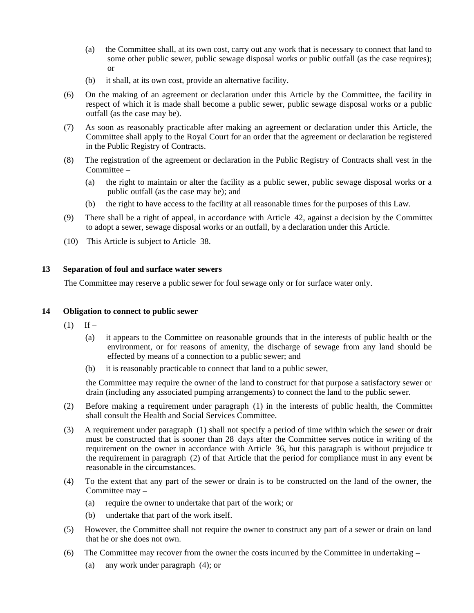- (a) the Committee shall, at its own cost, carry out any work that is necessary to connect that land to some other public sewer, public sewage disposal works or public outfall (as the case requires); or
- (b) it shall, at its own cost, provide an alternative facility.
- (6) On the making of an agreement or declaration under this Article by the Committee, the facility in respect of which it is made shall become a public sewer, public sewage disposal works or a public outfall (as the case may be).
- (7) As soon as reasonably practicable after making an agreement or declaration under this Article, the Committee shall apply to the Royal Court for an order that the agreement or declaration be registered in the Public Registry of Contracts.
- (8) The registration of the agreement or declaration in the Public Registry of Contracts shall vest in the Committee –
	- (a) the right to maintain or alter the facility as a public sewer, public sewage disposal works or a public outfall (as the case may be); and
	- (b) the right to have access to the facility at all reasonable times for the purposes of this Law.
- (9) There shall be a right of appeal, in accordance with Article 42, against a decision by the Committee to adopt a sewer, sewage disposal works or an outfall, by a declaration under this Article.
- (10) This Article is subject to Article 38.

#### **13 Separation of foul and surface water sewers**

The Committee may reserve a public sewer for foul sewage only or for surface water only.

#### **14 Obligation to connect to public sewer**

- $(1)$  If
	- (a) it appears to the Committee on reasonable grounds that in the interests of public health or the environment, or for reasons of amenity, the discharge of sewage from any land should be effected by means of a connection to a public sewer; and
	- (b) it is reasonably practicable to connect that land to a public sewer,

the Committee may require the owner of the land to construct for that purpose a satisfactory sewer or drain (including any associated pumping arrangements) to connect the land to the public sewer.

- (2) Before making a requirement under paragraph (1) in the interests of public health, the Committee shall consult the Health and Social Services Committee.
- (3) A requirement under paragraph (1) shall not specify a period of time within which the sewer or drain must be constructed that is sooner than 28 days after the Committee serves notice in writing of the requirement on the owner in accordance with Article 36, but this paragraph is without prejudice to the requirement in paragraph (2) of that Article that the period for compliance must in any event be reasonable in the circumstances.
- (4) To the extent that any part of the sewer or drain is to be constructed on the land of the owner, the Committee may –
	- (a) require the owner to undertake that part of the work; or
	- (b) undertake that part of the work itself.
- (5) However, the Committee shall not require the owner to construct any part of a sewer or drain on land that he or she does not own.
- (6) The Committee may recover from the owner the costs incurred by the Committee in undertaking
	- (a) any work under paragraph (4); or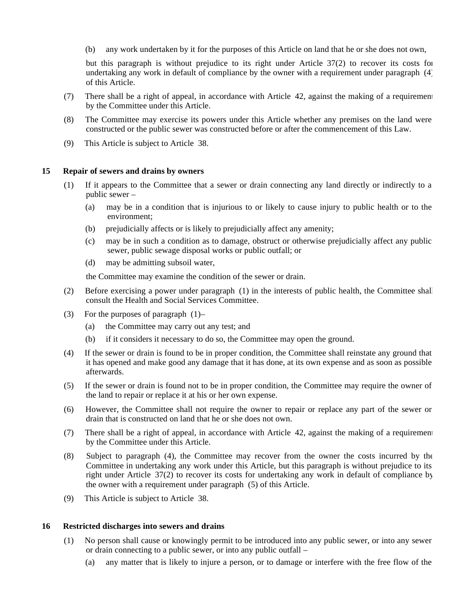(b) any work undertaken by it for the purposes of this Article on land that he or she does not own,

but this paragraph is without prejudice to its right under Article 37(2) to recover its costs for undertaking any work in default of compliance by the owner with a requirement under paragraph (4) of this Article.

- (7) There shall be a right of appeal, in accordance with Article 42, against the making of a requirement by the Committee under this Article.
- (8) The Committee may exercise its powers under this Article whether any premises on the land were constructed or the public sewer was constructed before or after the commencement of this Law.
- (9) This Article is subject to Article 38.

#### **15 Repair of sewers and drains by owners**

- (1) If it appears to the Committee that a sewer or drain connecting any land directly or indirectly to a public sewer –
	- (a) may be in a condition that is injurious to or likely to cause injury to public health or to the environment;
	- (b) prejudicially affects or is likely to prejudicially affect any amenity;
	- (c) may be in such a condition as to damage, obstruct or otherwise prejudicially affect any public sewer, public sewage disposal works or public outfall; or
	- (d) may be admitting subsoil water,

the Committee may examine the condition of the sewer or drain.

- (2) Before exercising a power under paragraph (1) in the interests of public health, the Committee shall consult the Health and Social Services Committee.
- (3) For the purposes of paragraph  $(1)$ -
	- (a) the Committee may carry out any test; and
	- (b) if it considers it necessary to do so, the Committee may open the ground.
- (4) If the sewer or drain is found to be in proper condition, the Committee shall reinstate any ground that it has opened and make good any damage that it has done, at its own expense and as soon as possible afterwards.
- (5) If the sewer or drain is found not to be in proper condition, the Committee may require the owner of the land to repair or replace it at his or her own expense.
- (6) However, the Committee shall not require the owner to repair or replace any part of the sewer or drain that is constructed on land that he or she does not own.
- (7) There shall be a right of appeal, in accordance with Article 42, against the making of a requirement by the Committee under this Article.
- (8) Subject to paragraph (4), the Committee may recover from the owner the costs incurred by the Committee in undertaking any work under this Article, but this paragraph is without prejudice to its right under Article 37(2) to recover its costs for undertaking any work in default of compliance by the owner with a requirement under paragraph (5) of this Article.
- (9) This Article is subject to Article 38.

#### **16 Restricted discharges into sewers and drains**

- (1) No person shall cause or knowingly permit to be introduced into any public sewer, or into any sewer or drain connecting to a public sewer, or into any public outfall –
	- (a) any matter that is likely to injure a person, or to damage or interfere with the free flow of the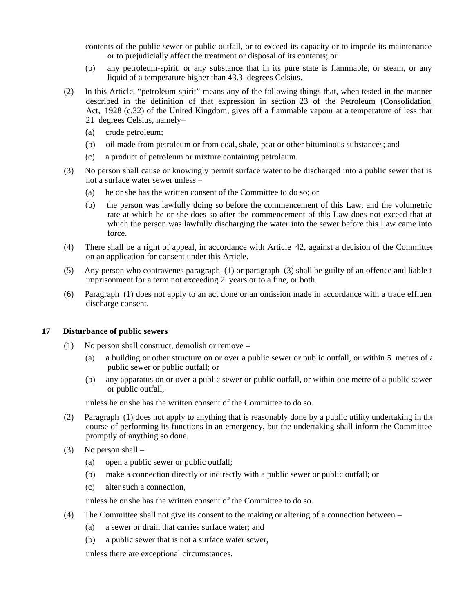contents of the public sewer or public outfall, or to exceed its capacity or to impede its maintenance or to prejudicially affect the treatment or disposal of its contents; or

- (b) any petroleum-spirit, or any substance that in its pure state is flammable, or steam, or any liquid of a temperature higher than 43.3 degrees Celsius.
- (2) In this Article, "petroleum-spirit" means any of the following things that, when tested in the manner described in the definition of that expression in section 23 of the Petroleum (Consolidation) Act, 1928 (c.32) of the United Kingdom, gives off a flammable vapour at a temperature of less than 21 degrees Celsius, namely-
	- (a) crude petroleum;
	- (b) oil made from petroleum or from coal, shale, peat or other bituminous substances; and
	- (c) a product of petroleum or mixture containing petroleum.
- (3) No person shall cause or knowingly permit surface water to be discharged into a public sewer that is not a surface water sewer unless –
	- (a) he or she has the written consent of the Committee to do so; or
	- (b) the person was lawfully doing so before the commencement of this Law, and the volumetric rate at which he or she does so after the commencement of this Law does not exceed that at which the person was lawfully discharging the water into the sewer before this Law came into force.
- (4) There shall be a right of appeal, in accordance with Article 42, against a decision of the Committee on an application for consent under this Article.
- (5) Any person who contravenes paragraph (1) or paragraph (3) shall be guilty of an offence and liable  $t_0$ imprisonment for a term not exceeding 2 years or to a fine, or both.
- $(6)$  Paragraph  $(1)$  does not apply to an act done or an omission made in accordance with a trade effluent discharge consent.

#### **17 Disturbance of public sewers**

- (1) No person shall construct, demolish or remove
	- (a) a building or other structure on or over a public sewer or public outfall, or within 5 metres of  $\epsilon$ public sewer or public outfall; or
	- (b) any apparatus on or over a public sewer or public outfall, or within one metre of a public sewer or public outfall,

unless he or she has the written consent of the Committee to do so.

- (2) Paragraph (1) does not apply to anything that is reasonably done by a public utility undertaking in the course of performing its functions in an emergency, but the undertaking shall inform the Committee promptly of anything so done.
- (3) No person shall
	- (a) open a public sewer or public outfall;
	- (b) make a connection directly or indirectly with a public sewer or public outfall; or
	- (c) alter such a connection,

unless he or she has the written consent of the Committee to do so.

- (4) The Committee shall not give its consent to the making or altering of a connection between
	- (a) a sewer or drain that carries surface water; and
	- (b) a public sewer that is not a surface water sewer,

unless there are exceptional circumstances.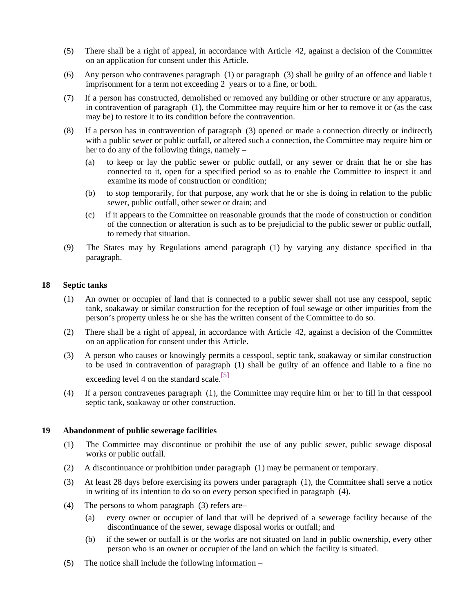- (5) There shall be a right of appeal, in accordance with Article 42, against a decision of the Committee on an application for consent under this Article.
- (6) Any person who contravenes paragraph (1) or paragraph (3) shall be guilty of an offence and liable  $t_0$ imprisonment for a term not exceeding 2 years or to a fine, or both.
- (7) If a person has constructed, demolished or removed any building or other structure or any apparatus, in contravention of paragraph (1), the Committee may require him or her to remove it or (as the case may be) to restore it to its condition before the contravention.
- (8) If a person has in contravention of paragraph (3) opened or made a connection directly or indirectly with a public sewer or public outfall, or altered such a connection, the Committee may require him or her to do any of the following things, namely –
	- (a) to keep or lay the public sewer or public outfall, or any sewer or drain that he or she has connected to it, open for a specified period so as to enable the Committee to inspect it and examine its mode of construction or condition;
	- (b) to stop temporarily, for that purpose, any work that he or she is doing in relation to the public sewer, public outfall, other sewer or drain; and
	- (c) if it appears to the Committee on reasonable grounds that the mode of construction or condition of the connection or alteration is such as to be prejudicial to the public sewer or public outfall, to remedy that situation.
- (9) The States may by Regulations amend paragraph (1) by varying any distance specified in that paragraph.

#### **18 Septic tanks**

- (1) An owner or occupier of land that is connected to a public sewer shall not use any cesspool, septic tank, soakaway or similar construction for the reception of foul sewage or other impurities from the person's property unless he or she has the written consent of the Committee to do so.
- (2) There shall be a right of appeal, in accordance with Article 42, against a decision of the Committee on an application for consent under this Article.
- (3) A person who causes or knowingly permits a cesspool, septic tank, soakaway or similar construction to be used in contravention of paragraph (1) shall be guilty of an offence and liable to a fine no exceeding level 4 on the standard scale.<sup>[5]</sup>
- (4) If a person contravenes paragraph (1), the Committee may require him or her to fill in that cesspool, septic tank, soakaway or other construction.

#### **19 Abandonment of public sewerage facilities**

- (1) The Committee may discontinue or prohibit the use of any public sewer, public sewage disposal works or public outfall.
- (2) A discontinuance or prohibition under paragraph (1) may be permanent or temporary.
- (3) At least 28 days before exercising its powers under paragraph (1), the Committee shall serve a notice in writing of its intention to do so on every person specified in paragraph (4).
- (4) The persons to whom paragraph (3) refers are
	- (a) every owner or occupier of land that will be deprived of a sewerage facility because of the discontinuance of the sewer, sewage disposal works or outfall; and
	- (b) if the sewer or outfall is or the works are not situated on land in public ownership, every other person who is an owner or occupier of the land on which the facility is situated.
- (5) The notice shall include the following information –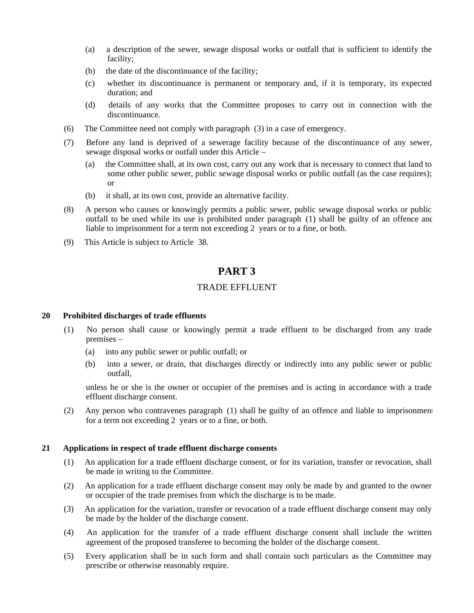- (a) a description of the sewer, sewage disposal works or outfall that is sufficient to identify the facility;
- (b) the date of the discontinuance of the facility;
- (c) whether its discontinuance is permanent or temporary and, if it is temporary, its expected duration; and
- (d) details of any works that the Committee proposes to carry out in connection with the discontinuance.
- (6) The Committee need not comply with paragraph (3) in a case of emergency.
- (7) Before any land is deprived of a sewerage facility because of the discontinuance of any sewer, sewage disposal works or outfall under this Article –
	- (a) the Committee shall, at its own cost, carry out any work that is necessary to connect that land to some other public sewer, public sewage disposal works or public outfall (as the case requires); or
	- (b) it shall, at its own cost, provide an alternative facility.
- (8) A person who causes or knowingly permits a public sewer, public sewage disposal works or public outfall to be used while its use is prohibited under paragraph (1) shall be guilty of an offence and liable to imprisonment for a term not exceeding 2 years or to a fine, or both.
- (9) This Article is subject to Article 38.

## **PART 3**

#### TRADE EFFLUENT

#### **20 Prohibited discharges of trade effluents**

- (1) No person shall cause or knowingly permit a trade effluent to be discharged from any trade premises –
	- (a) into any public sewer or public outfall; or
	- (b) into a sewer, or drain, that discharges directly or indirectly into any public sewer or public outfall,

unless he or she is the owner or occupier of the premises and is acting in accordance with a trade effluent discharge consent.

(2) Any person who contravenes paragraph (1) shall be guilty of an offence and liable to imprisonment for a term not exceeding 2 years or to a fine, or both.

#### **21 Applications in respect of trade effluent discharge consents**

- (1) An application for a trade effluent discharge consent, or for its variation, transfer or revocation, shall be made in writing to the Committee.
- (2) An application for a trade effluent discharge consent may only be made by and granted to the owner or occupier of the trade premises from which the discharge is to be made.
- (3) An application for the variation, transfer or revocation of a trade effluent discharge consent may only be made by the holder of the discharge consent.
- (4) An application for the transfer of a trade effluent discharge consent shall include the written agreement of the proposed transferee to becoming the holder of the discharge consent.
- (5) Every application shall be in such form and shall contain such particulars as the Committee may prescribe or otherwise reasonably require.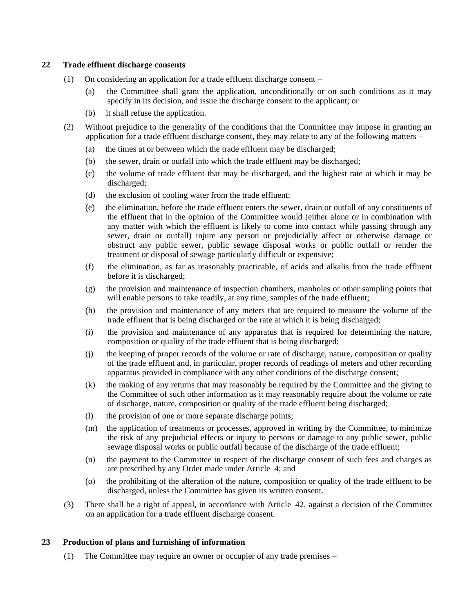#### **22 Trade effluent discharge consents**

- (1) On considering an application for a trade effluent discharge consent
	- (a) the Committee shall grant the application, unconditionally or on such conditions as it may specify in its decision, and issue the discharge consent to the applicant; or
	- (b) it shall refuse the application.
- (2) Without prejudice to the generality of the conditions that the Committee may impose in granting an application for a trade effluent discharge consent, they may relate to any of the following matters –
	- (a) the times at or between which the trade effluent may be discharged;
	- (b) the sewer, drain or outfall into which the trade effluent may be discharged;
	- (c) the volume of trade effluent that may be discharged, and the highest rate at which it may be discharged;
	- (d) the exclusion of cooling water from the trade effluent;
	- (e) the elimination, before the trade effluent enters the sewer, drain or outfall of any constituents of the effluent that in the opinion of the Committee would (either alone or in combination with any matter with which the effluent is likely to come into contact while passing through any sewer, drain or outfall) injure any person or prejudicially affect or otherwise damage or obstruct any public sewer, public sewage disposal works or public outfall or render the treatment or disposal of sewage particularly difficult or expensive;
	- (f) the elimination, as far as reasonably practicable, of acids and alkalis from the trade effluent before it is discharged;
	- (g) the provision and maintenance of inspection chambers, manholes or other sampling points that will enable persons to take readily, at any time, samples of the trade effluent;
	- (h) the provision and maintenance of any meters that are required to measure the volume of the trade effluent that is being discharged or the rate at which it is being discharged;
	- (i) the provision and maintenance of any apparatus that is required for determining the nature, composition or quality of the trade effluent that is being discharged;
	- (j) the keeping of proper records of the volume or rate of discharge, nature, composition or quality of the trade effluent and, in particular, proper records of readings of meters and other recording apparatus provided in compliance with any other conditions of the discharge consent;
	- (k) the making of any returns that may reasonably be required by the Committee and the giving to the Committee of such other information as it may reasonably require about the volume or rate of discharge, nature, composition or quality of the trade effluent being discharged;
	- (l) the provision of one or more separate discharge points;
	- (m) the application of treatments or processes, approved in writing by the Committee, to minimize the risk of any prejudicial effects or injury to persons or damage to any public sewer, public sewage disposal works or public outfall because of the discharge of the trade effluent;
	- (n) the payment to the Committee in respect of the discharge consent of such fees and charges as are prescribed by any Order made under Article 4; and
	- (o) the prohibiting of the alteration of the nature, composition or quality of the trade effluent to be discharged, unless the Committee has given its written consent.
- (3) There shall be a right of appeal, in accordance with Article 42, against a decision of the Committee on an application for a trade effluent discharge consent.

#### **23 Production of plans and furnishing of information**

(1) The Committee may require an owner or occupier of any trade premises –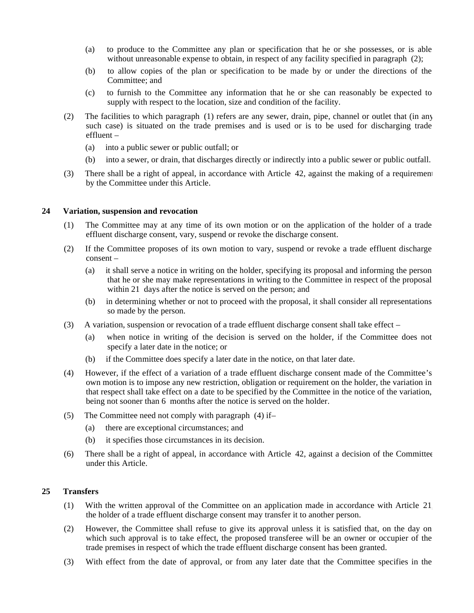- (a) to produce to the Committee any plan or specification that he or she possesses, or is able without unreasonable expense to obtain, in respect of any facility specified in paragraph (2);
- (b) to allow copies of the plan or specification to be made by or under the directions of the Committee; and
- (c) to furnish to the Committee any information that he or she can reasonably be expected to supply with respect to the location, size and condition of the facility.
- (2) The facilities to which paragraph (1) refers are any sewer, drain, pipe, channel or outlet that (in any such case) is situated on the trade premises and is used or is to be used for discharging trade effluent –
	- (a) into a public sewer or public outfall; or
	- (b) into a sewer, or drain, that discharges directly or indirectly into a public sewer or public outfall.
- (3) There shall be a right of appeal, in accordance with Article 42, against the making of a requirement by the Committee under this Article.

#### **24 Variation, suspension and revocation**

- (1) The Committee may at any time of its own motion or on the application of the holder of a trade effluent discharge consent, vary, suspend or revoke the discharge consent.
- (2) If the Committee proposes of its own motion to vary, suspend or revoke a trade effluent discharge consent –
	- (a) it shall serve a notice in writing on the holder, specifying its proposal and informing the person that he or she may make representations in writing to the Committee in respect of the proposal within 21 days after the notice is served on the person; and
	- (b) in determining whether or not to proceed with the proposal, it shall consider all representations so made by the person.
- (3) A variation, suspension or revocation of a trade effluent discharge consent shall take effect
	- (a) when notice in writing of the decision is served on the holder, if the Committee does not specify a later date in the notice; or
	- (b) if the Committee does specify a later date in the notice, on that later date.
- (4) However, if the effect of a variation of a trade effluent discharge consent made of the Committee's own motion is to impose any new restriction, obligation or requirement on the holder, the variation in that respect shall take effect on a date to be specified by the Committee in the notice of the variation, being not sooner than 6 months after the notice is served on the holder.
- (5) The Committee need not comply with paragraph (4) if
	- (a) there are exceptional circumstances; and
	- (b) it specifies those circumstances in its decision.
- (6) There shall be a right of appeal, in accordance with Article 42, against a decision of the Committee under this Article.

#### **25 Transfers**

- (1) With the written approval of the Committee on an application made in accordance with Article 21, the holder of a trade effluent discharge consent may transfer it to another person.
- (2) However, the Committee shall refuse to give its approval unless it is satisfied that, on the day on which such approval is to take effect, the proposed transferee will be an owner or occupier of the trade premises in respect of which the trade effluent discharge consent has been granted.
- (3) With effect from the date of approval, or from any later date that the Committee specifies in the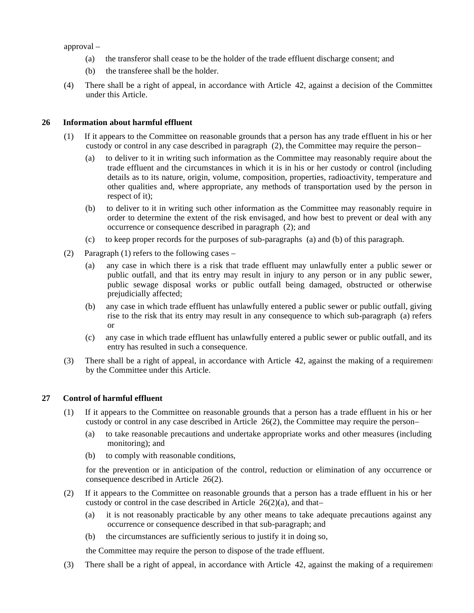approval –

- (a) the transferor shall cease to be the holder of the trade effluent discharge consent; and
- (b) the transferee shall be the holder.
- (4) There shall be a right of appeal, in accordance with Article 42, against a decision of the Committee under this Article.

#### **26 Information about harmful effluent**

- (1) If it appears to the Committee on reasonable grounds that a person has any trade effluent in his or her custody or control in any case described in paragraph (2), the Committee may require the person-
	- (a) to deliver to it in writing such information as the Committee may reasonably require about the trade effluent and the circumstances in which it is in his or her custody or control (including details as to its nature, origin, volume, composition, properties, radioactivity, temperature and other qualities and, where appropriate, any methods of transportation used by the person in respect of it);
	- (b) to deliver to it in writing such other information as the Committee may reasonably require in order to determine the extent of the risk envisaged, and how best to prevent or deal with any occurrence or consequence described in paragraph (2); and
	- (c) to keep proper records for the purposes of sub-paragraphs (a) and (b) of this paragraph.
- (2) Paragraph (1) refers to the following cases
	- (a) any case in which there is a risk that trade effluent may unlawfully enter a public sewer or public outfall, and that its entry may result in injury to any person or in any public sewer, public sewage disposal works or public outfall being damaged, obstructed or otherwise prejudicially affected;
	- (b) any case in which trade effluent has unlawfully entered a public sewer or public outfall, giving rise to the risk that its entry may result in any consequence to which sub-paragraph (a) refers; or
	- (c) any case in which trade effluent has unlawfully entered a public sewer or public outfall, and its entry has resulted in such a consequence.
- (3) There shall be a right of appeal, in accordance with Article 42, against the making of a requirement by the Committee under this Article.

#### **27 Control of harmful effluent**

- (1) If it appears to the Committee on reasonable grounds that a person has a trade effluent in his or her custody or control in any case described in Article  $26(2)$ , the Committee may require the person-
	- (a) to take reasonable precautions and undertake appropriate works and other measures (including monitoring); and
	- (b) to comply with reasonable conditions,

for the prevention or in anticipation of the control, reduction or elimination of any occurrence or consequence described in Article 26(2).

- (2) If it appears to the Committee on reasonable grounds that a person has a trade effluent in his or her custody or control in the case described in Article  $26(2)(a)$ , and that-
	- (a) it is not reasonably practicable by any other means to take adequate precautions against any occurrence or consequence described in that sub-paragraph; and
	- (b) the circumstances are sufficiently serious to justify it in doing so,

the Committee may require the person to dispose of the trade effluent.

(3) There shall be a right of appeal, in accordance with Article 42, against the making of a requirement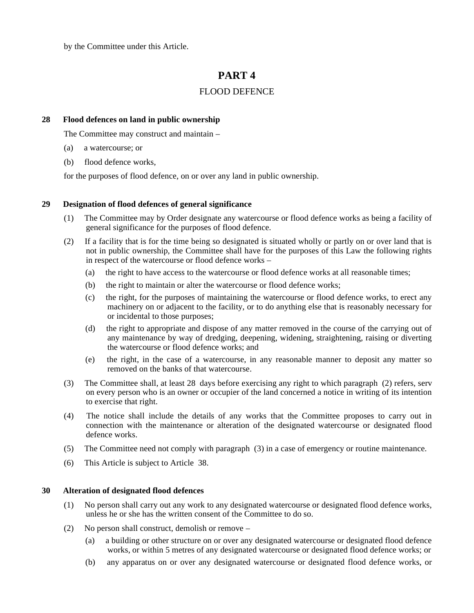by the Committee under this Article.

## **PART 4**

## FLOOD DEFENCE

#### **28 Flood defences on land in public ownership**

The Committee may construct and maintain –

- (a) a watercourse; or
- (b) flood defence works,

for the purposes of flood defence, on or over any land in public ownership.

#### **29 Designation of flood defences of general significance**

- (1) The Committee may by Order designate any watercourse or flood defence works as being a facility of general significance for the purposes of flood defence.
- (2) If a facility that is for the time being so designated is situated wholly or partly on or over land that is not in public ownership, the Committee shall have for the purposes of this Law the following rights in respect of the watercourse or flood defence works –
	- (a) the right to have access to the watercourse or flood defence works at all reasonable times;
	- (b) the right to maintain or alter the watercourse or flood defence works;
	- (c) the right, for the purposes of maintaining the watercourse or flood defence works, to erect any machinery on or adjacent to the facility, or to do anything else that is reasonably necessary for or incidental to those purposes;
	- (d) the right to appropriate and dispose of any matter removed in the course of the carrying out of any maintenance by way of dredging, deepening, widening, straightening, raising or diverting the watercourse or flood defence works; and
	- (e) the right, in the case of a watercourse, in any reasonable manner to deposit any matter so removed on the banks of that watercourse.
- (3) The Committee shall, at least 28 days before exercising any right to which paragraph (2) refers, serve on every person who is an owner or occupier of the land concerned a notice in writing of its intention to exercise that right.
- (4) The notice shall include the details of any works that the Committee proposes to carry out in connection with the maintenance or alteration of the designated watercourse or designated flood defence works.
- (5) The Committee need not comply with paragraph (3) in a case of emergency or routine maintenance.
- (6) This Article is subject to Article 38.

#### **30 Alteration of designated flood defences**

- (1) No person shall carry out any work to any designated watercourse or designated flood defence works, unless he or she has the written consent of the Committee to do so.
- (2) No person shall construct, demolish or remove
	- (a) a building or other structure on or over any designated watercourse or designated flood defence works, or within 5 metres of any designated watercourse or designated flood defence works; or
	- (b) any apparatus on or over any designated watercourse or designated flood defence works, or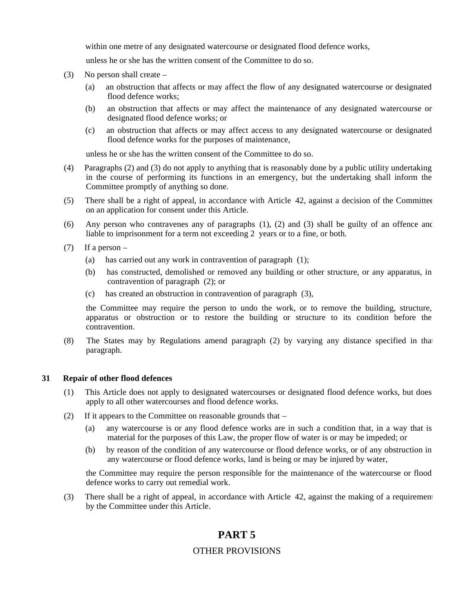within one metre of any designated watercourse or designated flood defence works,

unless he or she has the written consent of the Committee to do so.

- (3) No person shall create
	- (a) an obstruction that affects or may affect the flow of any designated watercourse or designated flood defence works;
	- (b) an obstruction that affects or may affect the maintenance of any designated watercourse or designated flood defence works; or
	- (c) an obstruction that affects or may affect access to any designated watercourse or designated flood defence works for the purposes of maintenance,

unless he or she has the written consent of the Committee to do so.

- (4) Paragraphs (2) and (3) do not apply to anything that is reasonably done by a public utility undertaking in the course of performing its functions in an emergency, but the undertaking shall inform the Committee promptly of anything so done.
- (5) There shall be a right of appeal, in accordance with Article 42, against a decision of the Committee on an application for consent under this Article.
- (6) Any person who contravenes any of paragraphs  $(1)$ ,  $(2)$  and  $(3)$  shall be guilty of an offence and liable to imprisonment for a term not exceeding 2 years or to a fine, or both.
- $(7)$  If a person
	- (a) has carried out any work in contravention of paragraph (1);
	- (b) has constructed, demolished or removed any building or other structure, or any apparatus, in contravention of paragraph (2); or
	- (c) has created an obstruction in contravention of paragraph (3),

the Committee may require the person to undo the work, or to remove the building, structure, apparatus or obstruction or to restore the building or structure to its condition before the contravention.

(8) The States may by Regulations amend paragraph (2) by varying any distance specified in that paragraph.

#### **31 Repair of other flood defences**

- (1) This Article does not apply to designated watercourses or designated flood defence works, but does apply to all other watercourses and flood defence works.
- (2) If it appears to the Committee on reasonable grounds that
	- (a) any watercourse is or any flood defence works are in such a condition that, in a way that is material for the purposes of this Law, the proper flow of water is or may be impeded; or
	- (b) by reason of the condition of any watercourse or flood defence works, or of any obstruction in any watercourse or flood defence works, land is being or may be injured by water,

the Committee may require the person responsible for the maintenance of the watercourse or flood defence works to carry out remedial work.

(3) There shall be a right of appeal, in accordance with Article 42, against the making of a requirement by the Committee under this Article.

## **PART 5**

#### OTHER PROVISIONS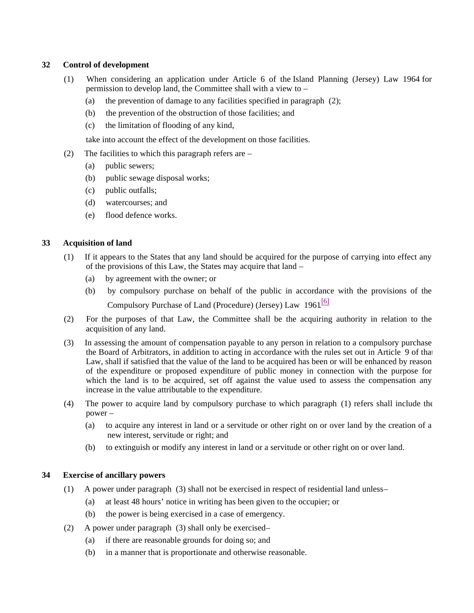#### **32 Control of development**

- (1) When considering an application under Article 6 of the Island Planning (Jersey) Law 1964 for permission to develop land, the Committee shall with a view to –
	- (a) the prevention of damage to any facilities specified in paragraph (2);
	- (b) the prevention of the obstruction of those facilities; and
	- (c) the limitation of flooding of any kind,

take into account the effect of the development on those facilities.

- (2) The facilities to which this paragraph refers are
	- (a) public sewers;
	- (b) public sewage disposal works;
	- (c) public outfalls;
	- (d) watercourses; and
	- (e) flood defence works.

#### **33 Acquisition of land**

- (1) If it appears to the States that any land should be acquired for the purpose of carrying into effect any of the provisions of this Law, the States may acquire that land –
	- (a) by agreement with the owner; or
	- (b) by compulsory purchase on behalf of the public in accordance with the provisions of the

Compulsory Purchase of Land (Procedure) (Jersey) Law 1961<sup>[6]</sup>

- (2) For the purposes of that Law, the Committee shall be the acquiring authority in relation to the acquisition of any land.
- (3) In assessing the amount of compensation payable to any person in relation to a compulsory purchase the Board of Arbitrators, in addition to acting in accordance with the rules set out in Article 9 of that Law, shall if satisfied that the value of the land to be acquired has been or will be enhanced by reason of the expenditure or proposed expenditure of public money in connection with the purpose for which the land is to be acquired, set off against the value used to assess the compensation any increase in the value attributable to the expenditure.
- (4) The power to acquire land by compulsory purchase to which paragraph (1) refers shall include the power –
	- (a) to acquire any interest in land or a servitude or other right on or over land by the creation of a new interest, servitude or right; and
	- (b) to extinguish or modify any interest in land or a servitude or other right on or over land.

#### **34 Exercise of ancillary powers**

- (1) A power under paragraph (3) shall not be exercised in respect of residential land unless
	- (a) at least 48 hours' notice in writing has been given to the occupier; or
	- (b) the power is being exercised in a case of emergency.
- (2) A power under paragraph (3) shall only be exercised
	- (a) if there are reasonable grounds for doing so; and
	- (b) in a manner that is proportionate and otherwise reasonable.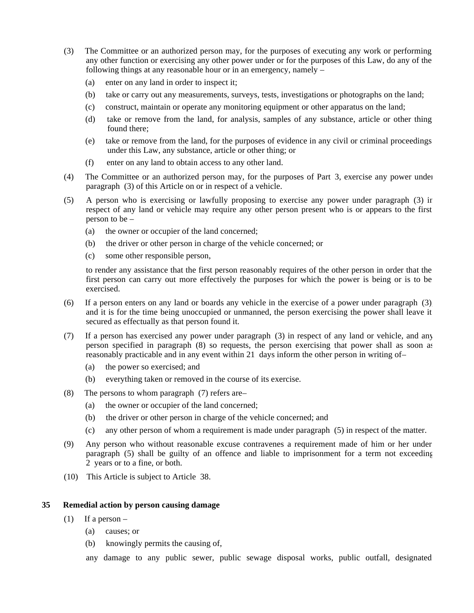- (3) The Committee or an authorized person may, for the purposes of executing any work or performing any other function or exercising any other power under or for the purposes of this Law, do any of the following things at any reasonable hour or in an emergency, namely –
	- (a) enter on any land in order to inspect it;
	- (b) take or carry out any measurements, surveys, tests, investigations or photographs on the land;
	- (c) construct, maintain or operate any monitoring equipment or other apparatus on the land;
	- (d) take or remove from the land, for analysis, samples of any substance, article or other thing found there;
	- (e) take or remove from the land, for the purposes of evidence in any civil or criminal proceedings under this Law, any substance, article or other thing; or
	- (f) enter on any land to obtain access to any other land.
- (4) The Committee or an authorized person may, for the purposes of Part 3, exercise any power under paragraph (3) of this Article on or in respect of a vehicle.
- (5) A person who is exercising or lawfully proposing to exercise any power under paragraph (3) in respect of any land or vehicle may require any other person present who is or appears to the first person to be –
	- (a) the owner or occupier of the land concerned;
	- (b) the driver or other person in charge of the vehicle concerned; or
	- (c) some other responsible person,

to render any assistance that the first person reasonably requires of the other person in order that the first person can carry out more effectively the purposes for which the power is being or is to be exercised.

- (6) If a person enters on any land or boards any vehicle in the exercise of a power under paragraph (3), and it is for the time being unoccupied or unmanned, the person exercising the power shall leave it secured as effectually as that person found it.
- (7) If a person has exercised any power under paragraph (3) in respect of any land or vehicle, and any person specified in paragraph (8) so requests, the person exercising that power shall as soon as reasonably practicable and in any event within 21 days inform the other person in writing of-
	- (a) the power so exercised; and
	- (b) everything taken or removed in the course of its exercise.
- (8) The persons to whom paragraph (7) refers are
	- (a) the owner or occupier of the land concerned;
	- (b) the driver or other person in charge of the vehicle concerned; and
	- (c) any other person of whom a requirement is made under paragraph (5) in respect of the matter.
- (9) Any person who without reasonable excuse contravenes a requirement made of him or her under paragraph (5) shall be guilty of an offence and liable to imprisonment for a term not exceeding 2 years or to a fine, or both.
- (10) This Article is subject to Article 38.

#### **35 Remedial action by person causing damage**

- (1) If a person  $-$ 
	- (a) causes; or
	- (b) knowingly permits the causing of,

any damage to any public sewer, public sewage disposal works, public outfall, designated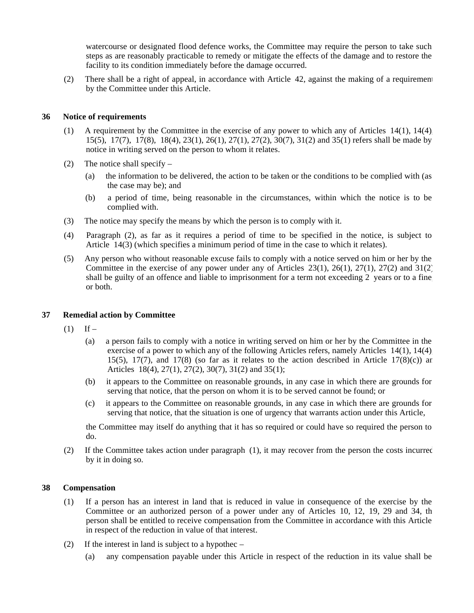watercourse or designated flood defence works, the Committee may require the person to take such steps as are reasonably practicable to remedy or mitigate the effects of the damage and to restore the facility to its condition immediately before the damage occurred.

(2) There shall be a right of appeal, in accordance with Article 42, against the making of a requirement by the Committee under this Article.

#### **36 Notice of requirements**

- (1) A requirement by the Committee in the exercise of any power to which any of Articles 14(1), 14(4), 15(5), 17(7), 17(8), 18(4), 23(1), 26(1), 27(1), 27(2), 30(7), 31(2) and 35(1) refers shall be made by a notice in writing served on the person to whom it relates.
- (2) The notice shall specify
	- (a) the information to be delivered, the action to be taken or the conditions to be complied with (as the case may be); and
	- (b) a period of time, being reasonable in the circumstances, within which the notice is to be complied with.
- (3) The notice may specify the means by which the person is to comply with it.
- (4) Paragraph (2), as far as it requires a period of time to be specified in the notice, is subject to Article 14(3) (which specifies a minimum period of time in the case to which it relates).
- (5) Any person who without reasonable excuse fails to comply with a notice served on him or her by the Committee in the exercise of any power under any of Articles 23(1), 26(1), 27(1), 27(2) and 31(2) shall be guilty of an offence and liable to imprisonment for a term not exceeding 2 years or to a fine or both.

#### **37 Remedial action by Committee**

- $(1)$  If
	- (a) a person fails to comply with a notice in writing served on him or her by the Committee in the exercise of a power to which any of the following Articles refers, namely Articles 14(1), 14(4) 15(5), 17(7), and 17(8) (so far as it relates to the action described in Article 17(8)(c)) ard Articles 18(4), 27(1), 27(2), 30(7), 31(2) and 35(1);
	- (b) it appears to the Committee on reasonable grounds, in any case in which there are grounds for serving that notice, that the person on whom it is to be served cannot be found; or
	- (c) it appears to the Committee on reasonable grounds, in any case in which there are grounds for serving that notice, that the situation is one of urgency that warrants action under this Article,

the Committee may itself do anything that it has so required or could have so required the person to do.

(2) If the Committee takes action under paragraph (1), it may recover from the person the costs incurred by it in doing so.

#### **38 Compensation**

- (1) If a person has an interest in land that is reduced in value in consequence of the exercise by the Committee or an authorized person of a power under any of Articles  $10$ ,  $12$ ,  $19$ ,  $29$  and  $34$ , the person shall be entitled to receive compensation from the Committee in accordance with this Article in respect of the reduction in value of that interest.
- (2) If the interest in land is subject to a hypothec
	- (a) any compensation payable under this Article in respect of the reduction in its value shall be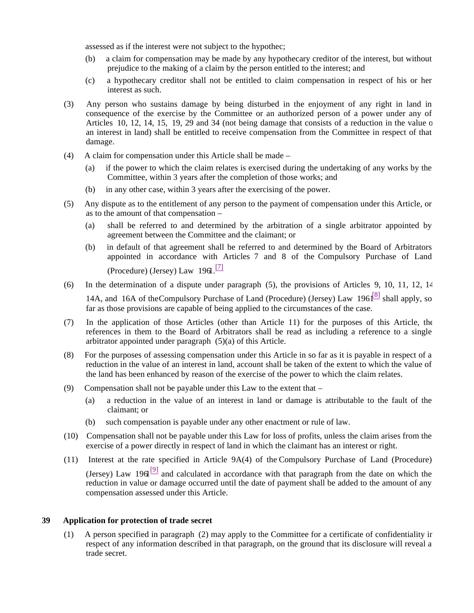assessed as if the interest were not subject to the hypothec;

- (b) a claim for compensation may be made by any hypothecary creditor of the interest, but without prejudice to the making of a claim by the person entitled to the interest; and
- (c) a hypothecary creditor shall not be entitled to claim compensation in respect of his or her interest as such.
- (3) Any person who sustains damage by being disturbed in the enjoyment of any right in land in consequence of the exercise by the Committee or an authorized person of a power under any of Articles 10, 12, 14, 15, 19, 29 and 34 (not being damage that consists of a reduction in the value of an interest in land) shall be entitled to receive compensation from the Committee in respect of that damage.
- (4) A claim for compensation under this Article shall be made
	- (a) if the power to which the claim relates is exercised during the undertaking of any works by the Committee, within 3 years after the completion of those works; and
	- (b) in any other case, within 3 years after the exercising of the power.
- (5) Any dispute as to the entitlement of any person to the payment of compensation under this Article, or as to the amount of that compensation –
	- (a) shall be referred to and determined by the arbitration of a single arbitrator appointed by agreement between the Committee and the claimant; or
	- (b) in default of that agreement shall be referred to and determined by the Board of Arbitrators appointed in accordance with Articles 7 and 8 of the Compulsory Purchase of Land (Procedure) (Jersey) Law  $196$ <sup>[7]</sup>
- (6) In the determination of a dispute under paragraph (5), the provisions of Articles 9, 10, 11, 12, 14,

14A, and 16A of theCompulsory Purchase of Land (Procedure) (Jersey) Law 1961<sup>[8]</sup> shall apply, so far as those provisions are capable of being applied to the circumstances of the case.

- (7) In the application of those Articles (other than Article 11) for the purposes of this Article, the references in them to the Board of Arbitrators shall be read as including a reference to a single arbitrator appointed under paragraph (5)(a) of this Article.
- (8) For the purposes of assessing compensation under this Article in so far as it is payable in respect of a reduction in the value of an interest in land, account shall be taken of the extent to which the value of the land has been enhanced by reason of the exercise of the power to which the claim relates.
- (9) Compensation shall not be payable under this Law to the extent that
	- (a) a reduction in the value of an interest in land or damage is attributable to the fault of the claimant; or
	- (b) such compensation is payable under any other enactment or rule of law.
- (10) Compensation shall not be payable under this Law for loss of profits, unless the claim arises from the exercise of a power directly in respect of land in which the claimant has an interest or right.
- (11) Interest at the rate specified in Article 9A(4) of the Compulsory Purchase of Land (Procedure) (Jersey) Law 19 $\mathbf{d}^{[9]}$  and calculated in accordance with that paragraph from the date on which the reduction in value or damage occurred until the date of payment shall be added to the amount of any compensation assessed under this Article.

#### **39 Application for protection of trade secret**

(1) A person specified in paragraph (2) may apply to the Committee for a certificate of confidentiality in respect of any information described in that paragraph, on the ground that its disclosure will reveal a trade secret.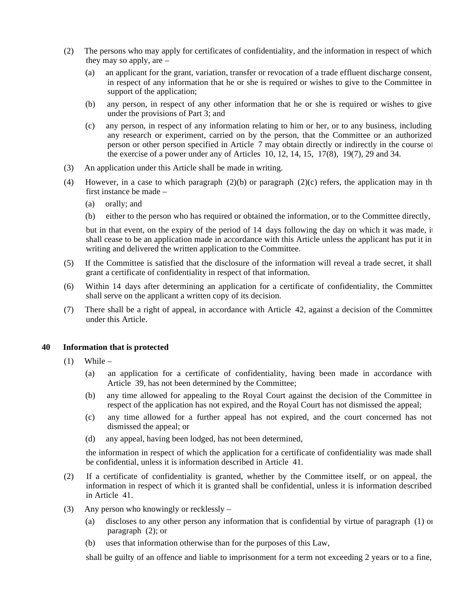- (2) The persons who may apply for certificates of confidentiality, and the information in respect of which they may so apply, are –
	- (a) an applicant for the grant, variation, transfer or revocation of a trade effluent discharge consent, in respect of any information that he or she is required or wishes to give to the Committee in support of the application;
	- (b) any person, in respect of any other information that he or she is required or wishes to give under the provisions of Part 3; and
	- (c) any person, in respect of any information relating to him or her, or to any business, including any research or experiment, carried on by the person, that the Committee or an authorized person or other person specified in Article 7 may obtain directly or indirectly in the course of the exercise of a power under any of Articles 10, 12, 14, 15, 17(8), 19(7), 29 and 34.
- (3) An application under this Article shall be made in writing.
- (4) However, in a case to which paragraph  $(2)(b)$  or paragraph  $(2)(c)$  refers, the application may in the first instance be made –
	- (a) orally; and
	- (b) either to the person who has required or obtained the information, or to the Committee directly,

but in that event, on the expiry of the period of 14 days following the day on which it was made, it shall cease to be an application made in accordance with this Article unless the applicant has put it in writing and delivered the written application to the Committee.

- (5) If the Committee is satisfied that the disclosure of the information will reveal a trade secret, it shall grant a certificate of confidentiality in respect of that information.
- (6) Within 14 days after determining an application for a certificate of confidentiality, the Committee shall serve on the applicant a written copy of its decision.
- (7) There shall be a right of appeal, in accordance with Article 42, against a decision of the Committee under this Article.

#### **40 Information that is protected**

- $(1)$  While
	- (a) an application for a certificate of confidentiality, having been made in accordance with Article 39, has not been determined by the Committee;
	- (b) any time allowed for appealing to the Royal Court against the decision of the Committee in respect of the application has not expired, and the Royal Court has not dismissed the appeal;
	- (c) any time allowed for a further appeal has not expired, and the court concerned has not dismissed the appeal; or
	- (d) any appeal, having been lodged, has not been determined,

the information in respect of which the application for a certificate of confidentiality was made shall be confidential, unless it is information described in Article 41.

- (2) If a certificate of confidentiality is granted, whether by the Committee itself, or on appeal, the information in respect of which it is granted shall be confidential, unless it is information described in Article 41.
- (3) Any person who knowingly or recklessly
	- (a) discloses to any other person any information that is confidential by virtue of paragraph (1) or paragraph (2); or
	- (b) uses that information otherwise than for the purposes of this Law,

shall be guilty of an offence and liable to imprisonment for a term not exceeding 2 years or to a fine,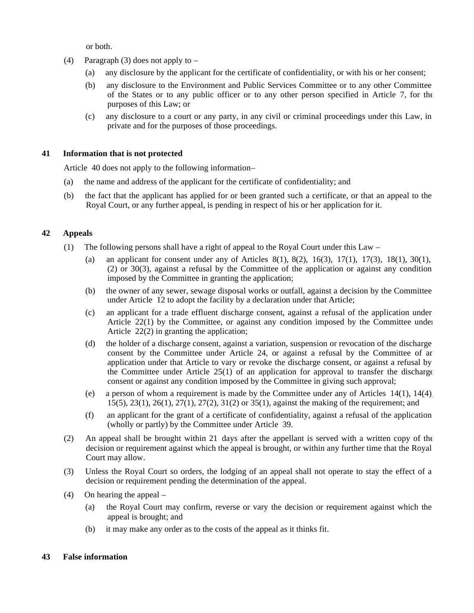or both.

- (4) Paragraph (3) does not apply to  $-$ 
	- (a) any disclosure by the applicant for the certificate of confidentiality, or with his or her consent;
	- (b) any disclosure to the Environment and Public Services Committee or to any other Committee of the States or to any public officer or to any other person specified in Article 7, for the purposes of this Law; or
	- (c) any disclosure to a court or any party, in any civil or criminal proceedings under this Law, in private and for the purposes of those proceedings.

#### **41 Information that is not protected**

Article 40 does not apply to the following information –

- (a) the name and address of the applicant for the certificate of confidentiality; and
- (b) the fact that the applicant has applied for or been granted such a certificate, or that an appeal to the Royal Court, or any further appeal, is pending in respect of his or her application for it.

#### **42 Appeals**

- (1) The following persons shall have a right of appeal to the Royal Court under this Law
	- (a) an applicant for consent under any of Articles 8(1), 8(2), 16(3), 17(1), 17(3), 18(1), 30(1), (2) or 30(3), against a refusal by the Committee of the application or against any condition imposed by the Committee in granting the application;
	- (b) the owner of any sewer, sewage disposal works or outfall, against a decision by the Committee under Article 12 to adopt the facility by a declaration under that Article;
	- (c) an applicant for a trade effluent discharge consent, against a refusal of the application under Article 22(1) by the Committee, or against any condition imposed by the Committee under Article 22(2) in granting the application;
	- (d) the holder of a discharge consent, against a variation, suspension or revocation of the discharge consent by the Committee under Article 24, or against a refusal by the Committee of an application under that Article to vary or revoke the discharge consent, or against a refusal by the Committee under Article 25(1) of an application for approval to transfer the discharge consent or against any condition imposed by the Committee in giving such approval;
	- (e) a person of whom a requirement is made by the Committee under any of Articles 14(1), 14(4), 15(5), 23(1), 26(1), 27(1), 27(2), 31(2) or 35(1), against the making of the requirement; and
	- (f) an applicant for the grant of a certificate of confidentiality, against a refusal of the application (wholly or partly) by the Committee under Article 39.
- (2) An appeal shall be brought within 21 days after the appellant is served with a written copy of the decision or requirement against which the appeal is brought, or within any further time that the Royal Court may allow.
- (3) Unless the Royal Court so orders, the lodging of an appeal shall not operate to stay the effect of a decision or requirement pending the determination of the appeal.
- (4) On hearing the appeal
	- (a) the Royal Court may confirm, reverse or vary the decision or requirement against which the appeal is brought; and
	- (b) it may make any order as to the costs of the appeal as it thinks fit.

#### **43 False information**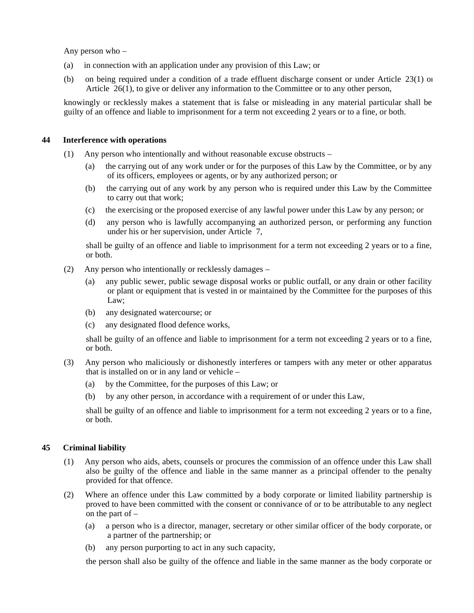Any person who –

- (a) in connection with an application under any provision of this Law; or
- (b) on being required under a condition of a trade effluent discharge consent or under Article 23(1) or Article 26(1), to give or deliver any information to the Committee or to any other person,

knowingly or recklessly makes a statement that is false or misleading in any material particular shall be guilty of an offence and liable to imprisonment for a term not exceeding 2 years or to a fine, or both.

#### **44 Interference with operations**

- (1) Any person who intentionally and without reasonable excuse obstructs
	- (a) the carrying out of any work under or for the purposes of this Law by the Committee, or by any of its officers, employees or agents, or by any authorized person; or
	- (b) the carrying out of any work by any person who is required under this Law by the Committee to carry out that work;
	- (c) the exercising or the proposed exercise of any lawful power under this Law by any person; or
	- (d) any person who is lawfully accompanying an authorized person, or performing any function under his or her supervision, under Article 7,

shall be guilty of an offence and liable to imprisonment for a term not exceeding 2 years or to a fine, or both.

- (2) Any person who intentionally or recklessly damages
	- (a) any public sewer, public sewage disposal works or public outfall, or any drain or other facility or plant or equipment that is vested in or maintained by the Committee for the purposes of this Law;
	- (b) any designated watercourse; or
	- (c) any designated flood defence works,

shall be guilty of an offence and liable to imprisonment for a term not exceeding 2 years or to a fine, or both.

- (3) Any person who maliciously or dishonestly interferes or tampers with any meter or other apparatus that is installed on or in any land or vehicle –
	- (a) by the Committee, for the purposes of this Law; or
	- (b) by any other person, in accordance with a requirement of or under this Law,

shall be guilty of an offence and liable to imprisonment for a term not exceeding 2 years or to a fine, or both.

#### **45 Criminal liability**

- (1) Any person who aids, abets, counsels or procures the commission of an offence under this Law shall also be guilty of the offence and liable in the same manner as a principal offender to the penalty provided for that offence.
- (2) Where an offence under this Law committed by a body corporate or limited liability partnership is proved to have been committed with the consent or connivance of or to be attributable to any neglect on the part of –
	- (a) a person who is a director, manager, secretary or other similar officer of the body corporate, or a partner of the partnership; or
	- (b) any person purporting to act in any such capacity,

the person shall also be guilty of the offence and liable in the same manner as the body corporate or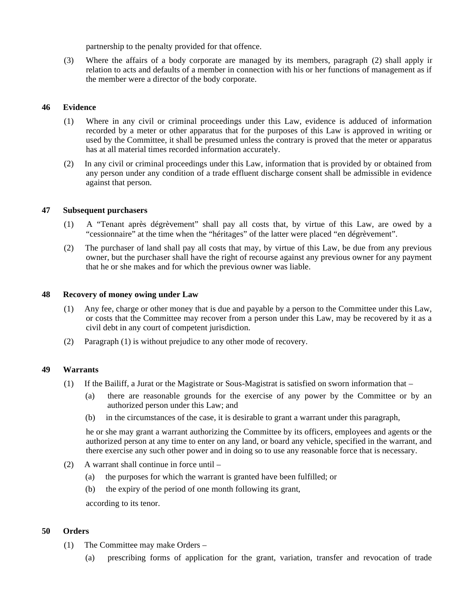partnership to the penalty provided for that offence.

(3) Where the affairs of a body corporate are managed by its members, paragraph (2) shall apply in relation to acts and defaults of a member in connection with his or her functions of management as if the member were a director of the body corporate.

#### **46 Evidence**

- (1) Where in any civil or criminal proceedings under this Law, evidence is adduced of information recorded by a meter or other apparatus that for the purposes of this Law is approved in writing or used by the Committee, it shall be presumed unless the contrary is proved that the meter or apparatus has at all material times recorded information accurately.
- (2) In any civil or criminal proceedings under this Law, information that is provided by or obtained from any person under any condition of a trade effluent discharge consent shall be admissible in evidence against that person.

#### **47 Subsequent purchasers**

- (1) A "Tenant après dégrèvement" shall pay all costs that, by virtue of this Law, are owed by a "cessionnaire" at the time when the "héritages" of the latter were placed "en dégrèvement".
- (2) The purchaser of land shall pay all costs that may, by virtue of this Law, be due from any previous owner, but the purchaser shall have the right of recourse against any previous owner for any payment that he or she makes and for which the previous owner was liable.

#### **48 Recovery of money owing under Law**

- (1) Any fee, charge or other money that is due and payable by a person to the Committee under this Law, or costs that the Committee may recover from a person under this Law, may be recovered by it as a civil debt in any court of competent jurisdiction.
- (2) Paragraph (1) is without prejudice to any other mode of recovery.

#### **49 Warrants**

- (1) If the Bailiff, a Jurat or the Magistrate or Sous-Magistrat is satisfied on sworn information that
	- (a) there are reasonable grounds for the exercise of any power by the Committee or by an authorized person under this Law; and
	- (b) in the circumstances of the case, it is desirable to grant a warrant under this paragraph,

he or she may grant a warrant authorizing the Committee by its officers, employees and agents or the authorized person at any time to enter on any land, or board any vehicle, specified in the warrant, and there exercise any such other power and in doing so to use any reasonable force that is necessary.

- (2) A warrant shall continue in force until
	- (a) the purposes for which the warrant is granted have been fulfilled; or
	- (b) the expiry of the period of one month following its grant,

according to its tenor.

#### **50 Orders**

- (1) The Committee may make Orders
	- (a) prescribing forms of application for the grant, variation, transfer and revocation of trade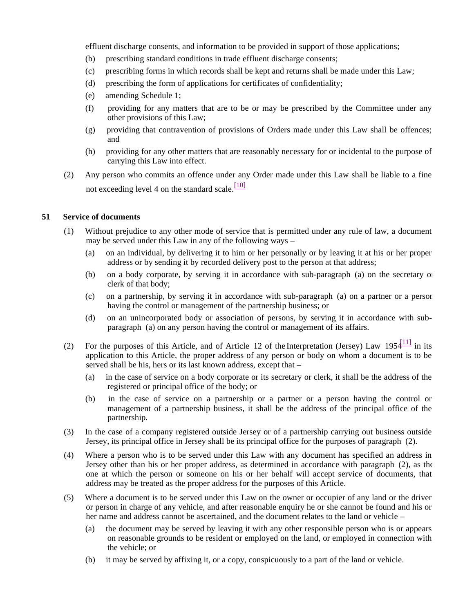effluent discharge consents, and information to be provided in support of those applications;

- (b) prescribing standard conditions in trade effluent discharge consents;
- (c) prescribing forms in which records shall be kept and returns shall be made under this Law;
- (d) prescribing the form of applications for certificates of confidentiality;
- (e) amending Schedule 1;
- (f) providing for any matters that are to be or may be prescribed by the Committee under any other provisions of this Law;
- (g) providing that contravention of provisions of Orders made under this Law shall be offences; and
- (h) providing for any other matters that are reasonably necessary for or incidental to the purpose of carrying this Law into effect.
- (2) Any person who commits an offence under any Order made under this Law shall be liable to a fine not exceeding level 4 on the standard scale. $\frac{[10]}{[10]}$

#### **51 Service of documents**

- (1) Without prejudice to any other mode of service that is permitted under any rule of law, a document may be served under this Law in any of the following ways –
	- (a) on an individual, by delivering it to him or her personally or by leaving it at his or her proper address or by sending it by recorded delivery post to the person at that address;
	- (b) on a body corporate, by serving it in accordance with sub-paragraph (a) on the secretary or clerk of that body;
	- (c) on a partnership, by serving it in accordance with sub-paragraph (a) on a partner or a person having the control or management of the partnership business; or
	- (d) on an unincorporated body or association of persons, by serving it in accordance with subparagraph (a) on any person having the control or management of its affairs.
- (2) For the purposes of this Article, and of Article 12 of the Interpretation (Jersey) Law  $1954^{111}$  in its application to this Article, the proper address of any person or body on whom a document is to be served shall be his, hers or its last known address, except that –
	- (a) in the case of service on a body corporate or its secretary or clerk, it shall be the address of the registered or principal office of the body; or
	- (b) in the case of service on a partnership or a partner or a person having the control or management of a partnership business, it shall be the address of the principal office of the partnership.
- (3) In the case of a company registered outside Jersey or of a partnership carrying out business outside Jersey, its principal office in Jersey shall be its principal office for the purposes of paragraph (2).
- (4) Where a person who is to be served under this Law with any document has specified an address in Jersey other than his or her proper address, as determined in accordance with paragraph (2), as the one at which the person or someone on his or her behalf will accept service of documents, that address may be treated as the proper address for the purposes of this Article.
- (5) Where a document is to be served under this Law on the owner or occupier of any land or the driver or person in charge of any vehicle, and after reasonable enquiry he or she cannot be found and his or her name and address cannot be ascertained, and the document relates to the land or vehicle –
	- (a) the document may be served by leaving it with any other responsible person who is or appears on reasonable grounds to be resident or employed on the land, or employed in connection with the vehicle; or
	- (b) it may be served by affixing it, or a copy, conspicuously to a part of the land or vehicle.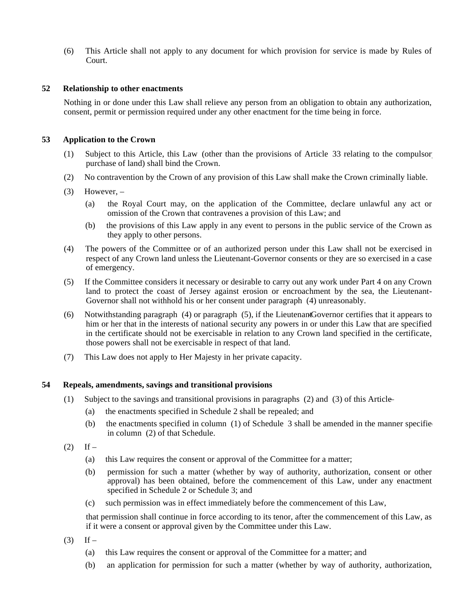(6) This Article shall not apply to any document for which provision for service is made by Rules of Court.

#### **52 Relationship to other enactments**

Nothing in or done under this Law shall relieve any person from an obligation to obtain any authorization, consent, permit or permission required under any other enactment for the time being in force.

#### **53 Application to the Crown**

- (1) Subject to this Article, this Law (other than the provisions of Article 33 relating to the compulsory purchase of land) shall bind the Crown.
- (2) No contravention by the Crown of any provision of this Law shall make the Crown criminally liable.
- $(3)$  However,
	- (a) the Royal Court may, on the application of the Committee, declare unlawful any act or omission of the Crown that contravenes a provision of this Law; and
	- (b) the provisions of this Law apply in any event to persons in the public service of the Crown as they apply to other persons.
- (4) The powers of the Committee or of an authorized person under this Law shall not be exercised in respect of any Crown land unless the Lieutenant-Governor consents or they are so exercised in a case of emergency.
- (5) If the Committee considers it necessary or desirable to carry out any work under Part 4 on any Crown land to protect the coast of Jersey against erosion or encroachment by the sea, the Lieutenant-Governor shall not withhold his or her consent under paragraph (4) unreasonably.
- (6) Notwithstanding paragraph (4) or paragraph (5), if the LieutenantGovernor certifies that it appears to him or her that in the interests of national security any powers in or under this Law that are specified in the certificate should not be exercisable in relation to any Crown land specified in the certificate, those powers shall not be exercisable in respect of that land.
- (7) This Law does not apply to Her Majesty in her private capacity.

#### **54 Repeals, amendments, savings and transitional provisions**

- (1) Subject to the savings and transitional provisions in paragraphs (2) and (3) of this Article
	- (a) the enactments specified in Schedule 2 shall be repealed; and
	- (b) the enactments specified in column  $(1)$  of Schedule 3 shall be amended in the manner specifie in column (2) of that Schedule.
- $(2)$  If
	- (a) this Law requires the consent or approval of the Committee for a matter;
	- (b) permission for such a matter (whether by way of authority, authorization, consent or other approval) has been obtained, before the commencement of this Law, under any enactment specified in Schedule 2 or Schedule 3; and
	- (c) such permission was in effect immediately before the commencement of this Law,

that permission shall continue in force according to its tenor, after the commencement of this Law, as if it were a consent or approval given by the Committee under this Law.

- $(3)$  If
	- (a) this Law requires the consent or approval of the Committee for a matter; and
	- (b) an application for permission for such a matter (whether by way of authority, authorization,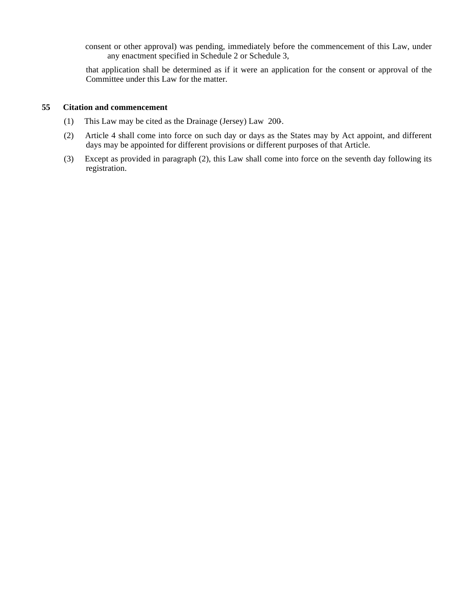consent or other approval) was pending, immediately before the commencement of this Law, under any enactment specified in Schedule 2 or Schedule 3,

that application shall be determined as if it were an application for the consent or approval of the Committee under this Law for the matter.

#### **55 Citation and commencement**

- (1) This Law may be cited as the Drainage (Jersey) Law 200-.
- (2) Article 4 shall come into force on such day or days as the States may by Act appoint, and different days may be appointed for different provisions or different purposes of that Article.
- (3) Except as provided in paragraph (2), this Law shall come into force on the seventh day following its registration.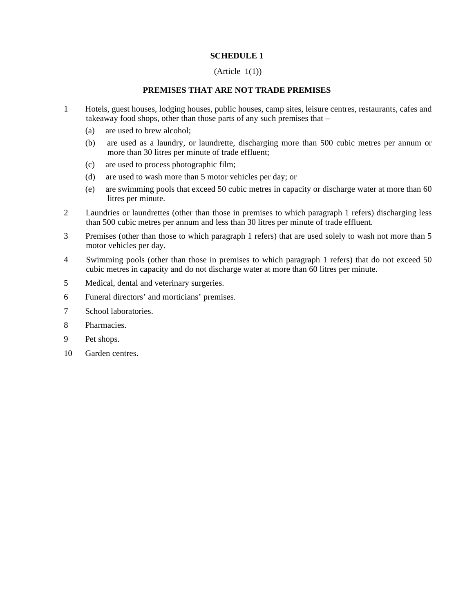#### **SCHEDULE 1**

#### $(A<sup>rt</sup>icle 1(1))$

#### **PREMISES THAT ARE NOT TRADE PREMISES**

- 1 Hotels, guest houses, lodging houses, public houses, camp sites, leisure centres, restaurants, cafes and takeaway food shops, other than those parts of any such premises that –
	- (a) are used to brew alcohol;
	- (b) are used as a laundry, or laundrette, discharging more than 500 cubic metres per annum or more than 30 litres per minute of trade effluent;
	- (c) are used to process photographic film;
	- (d) are used to wash more than 5 motor vehicles per day; or
	- (e) are swimming pools that exceed 50 cubic metres in capacity or discharge water at more than 60 litres per minute.
- 2 Laundries or laundrettes (other than those in premises to which paragraph 1 refers) discharging less than 500 cubic metres per annum and less than 30 litres per minute of trade effluent.
- 3 Premises (other than those to which paragraph 1 refers) that are used solely to wash not more than 5 motor vehicles per day.
- 4 Swimming pools (other than those in premises to which paragraph 1 refers) that do not exceed 50 cubic metres in capacity and do not discharge water at more than 60 litres per minute.
- 5 Medical, dental and veterinary surgeries.
- 6 Funeral directors' and morticians' premises.
- 7 School laboratories.
- 8 Pharmacies.
- 9 Pet shops.
- 10 Garden centres.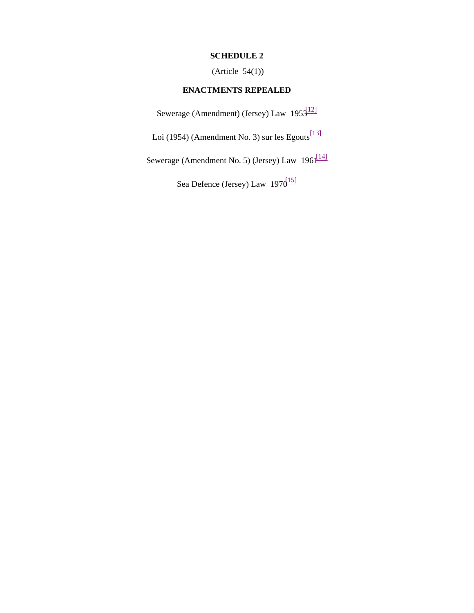### **SCHEDULE 2**

(Article 54(1))

## **ENACTMENTS REPEALED**

Sewerage (Amendment) (Jersey) Law  $195\frac{12}{12}$ 

Loi (1954) (Amendment No. 3) sur les Egouts<sup>[13]</sup>

Sewerage (Amendment No. 5) (Jersey) Law  $196 \frac{[14]}{[14]}$ 

Sea Defence (Jersey) Law 1970<sup>[15]</sup>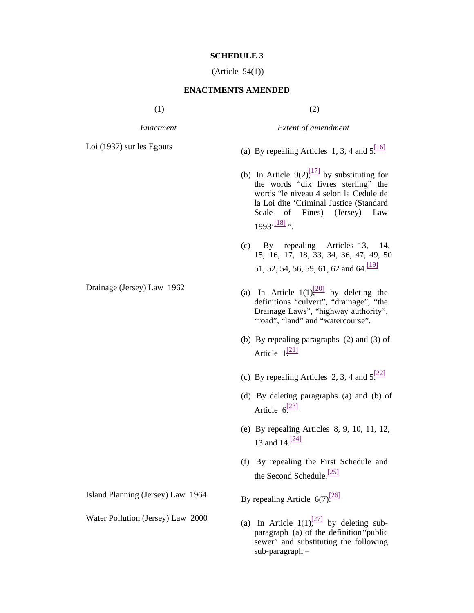#### **SCHEDULE 3**

(Article 54(1))

#### **ENACTMENTS AMENDED**

 $(1)$  (2)

*Enactment Extent of amendment*

- 
- Loi (1937) sur les Egouts (a) By repealing Articles 1, 3, 4 and  $5\frac{[16]}{[16]}$ 
	- (b) In Article 9(2), $\frac{[17]}{[17]}$  by substituting for the words "dix livres sterling" the words "le niveau 4 selon la Cedule de la Loi dite 'Criminal Justice (Standard Scale of Fines) (Jersey) Law  $1993'$ <sup>[18]</sup> ".
	- (c) By repealing Articles 13, 14, 15, 16, 17, 18, 33, 34, 36, 47, 49, 50, 51, 52, 54, 56, 59, 61, 62 and 64.<sup>[19]</sup>
- Drainage (Jersey) Law 1962 (a) In Article  $1(1)$ , by deleting the definitions "culvert", "drainage", "the Drainage Laws", "highway authority", "road", "land" and "watercourse".
	- (b) By repealing paragraphs (2) and (3) of Article  $1^{[21]}$
	- (c) By repealing Articles 2, 3, 4 and  $5\frac{[22]}{[22]}$
	- (d) By deleting paragraphs (a) and (b) of Article  $6\frac{[23]}{[23]}$
	- (e) By repealing Articles 8, 9, 10, 11, 12, 13 and  $14.$   $[24]$
	- (f) By repealing the First Schedule and the Second Schedule.<sup>[25]</sup>

Water Pollution (Jersey) Law 2000 (a) In Article  $1(1)$ , by deleting subparagraph (a) of the definition "public sewer" and substituting the following sub-paragraph –

Island Planning (Jersey) Law 1964 By repealing Article  $6(7)$ <sup>[26]</sup>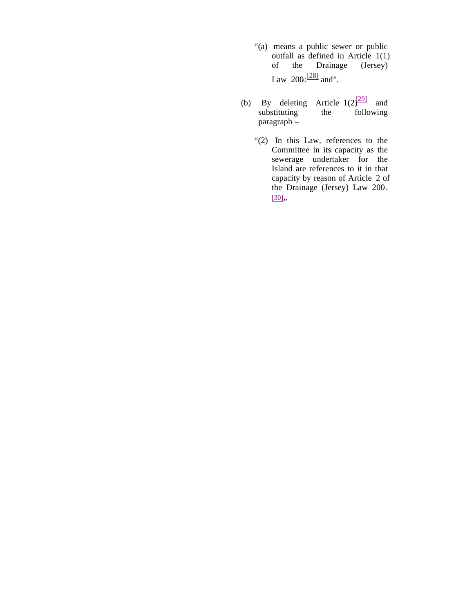- "(a) means a public sewer or public outfall as defined in Article 1(1)<br>of the Drainage (Jersey) Drainage (Jersey) Law  $200:\frac{[28]}{]}$  and".
- (b) By deleting Article  $1(2)^{29}$  and substituting the following  $substituting$ paragraph –
	- "(2) In this Law, references to the Committee in its capacity as the sewerage undertaker for the Island are references to it in that capacity by reason of Article 2 of the Drainage (Jersey) Law 200-.  $[30],$